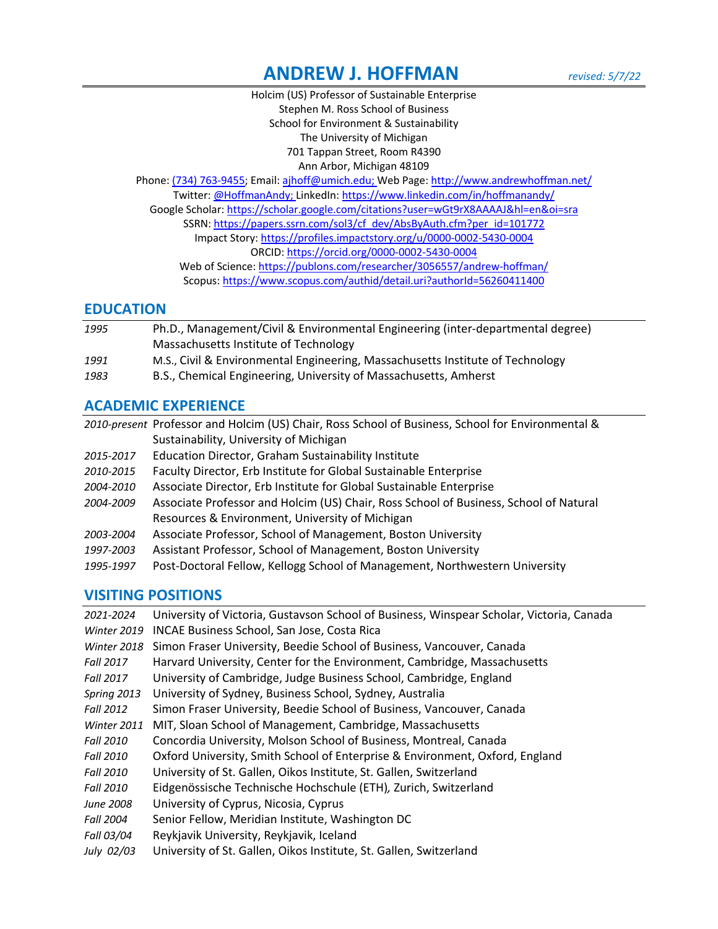# **ANDREW J. HOFFMAN** *revised: 5/7/22*

Holcim (US) Professor of Sustainable Enterprise Stephen M. Ross School of Business School for Environment & Sustainability The University of Michigan 701 Tappan Street, Room R4390 Ann Arbor, Michigan 48109

Phone: (734) 763-9455; Email: ajhoff@umich.edu; Web Page: http://www.andrewhoffman.net/ Twitter: @HoffmanAndy; LinkedIn: https://www.linkedin.com/in/hoffmanandy/ Google Scholar: https://scholar.google.com/citations?user=wGt9rX8AAAAJ&hl=en&oi=sra SSRN: https://papers.ssrn.com/sol3/cf\_dev/AbsByAuth.cfm?per\_id=101772 Impact Story: https://profiles.impactstory.org/u/0000-0002-5430-0004 ORCID: https://orcid.org/0000-0002-5430-0004 Web of Science: https://publons.com/researcher/3056557/andrew-hoffman/ Scopus: https://www.scopus.com/authid/detail.uri?authorId=56260411400

### **EDUCATION**

| 1995              | Ph.D., Management/Civil & Environmental Engineering (inter-departmental degree) |
|-------------------|---------------------------------------------------------------------------------|
|                   | Massachusetts Institute of Technology                                           |
| 1991              | M.S., Civil & Environmental Engineering, Massachusetts Institute of Technology  |
| $\overline{1000}$ |                                                                                 |

*1983* B.S., Chemical Engineering, University of Massachusetts, Amherst

# **ACADEMIC EXPERIENCE**

*2010-present* Professor and Holcim (US) Chair, Ross School of Business, School for Environmental & Sustainability, University of Michigan *2015-2017* Education Director, Graham Sustainability Institute *2010-2015* Faculty Director, Erb Institute for Global Sustainable Enterprise *2004-2010* Associate Director, Erb Institute for Global Sustainable Enterprise *2004-2009* Associate Professor and Holcim (US) Chair, Ross School of Business, School of Natural Resources & Environment, University of Michigan *2003-2004* Associate Professor, School of Management, Boston University *1997-2003* Assistant Professor, School of Management, Boston University *1995-1997* Post-Doctoral Fellow, Kellogg School of Management, Northwestern University

# **VISITING POSITIONS**

| 2021-2024          | University of Victoria, Gustavson School of Business, Winspear Scholar, Victoria, Canada |
|--------------------|------------------------------------------------------------------------------------------|
| Winter 2019        | <b>INCAE Business School, San Jose, Costa Rica</b>                                       |
| <b>Winter 2018</b> | Simon Fraser University, Beedie School of Business, Vancouver, Canada                    |
| Fall 2017          | Harvard University, Center for the Environment, Cambridge, Massachusetts                 |
| Fall 2017          | University of Cambridge, Judge Business School, Cambridge, England                       |
| Spring 2013        | University of Sydney, Business School, Sydney, Australia                                 |
| Fall 2012          | Simon Fraser University, Beedie School of Business, Vancouver, Canada                    |
| Winter 2011        | MIT, Sloan School of Management, Cambridge, Massachusetts                                |
| Fall 2010          | Concordia University, Molson School of Business, Montreal, Canada                        |
| Fall 2010          | Oxford University, Smith School of Enterprise & Environment, Oxford, England             |
| <b>Fall 2010</b>   | University of St. Gallen, Oikos Institute, St. Gallen, Switzerland                       |
| <b>Fall 2010</b>   | Eidgenössische Technische Hochschule (ETH), Zurich, Switzerland                          |
| June 2008          | University of Cyprus, Nicosia, Cyprus                                                    |
| Fall 2004          | Senior Fellow, Meridian Institute, Washington DC                                         |
| Fall 03/04         | Reykjavik University, Reykjavik, Iceland                                                 |
| July 02/03         | University of St. Gallen, Oikos Institute, St. Gallen, Switzerland                       |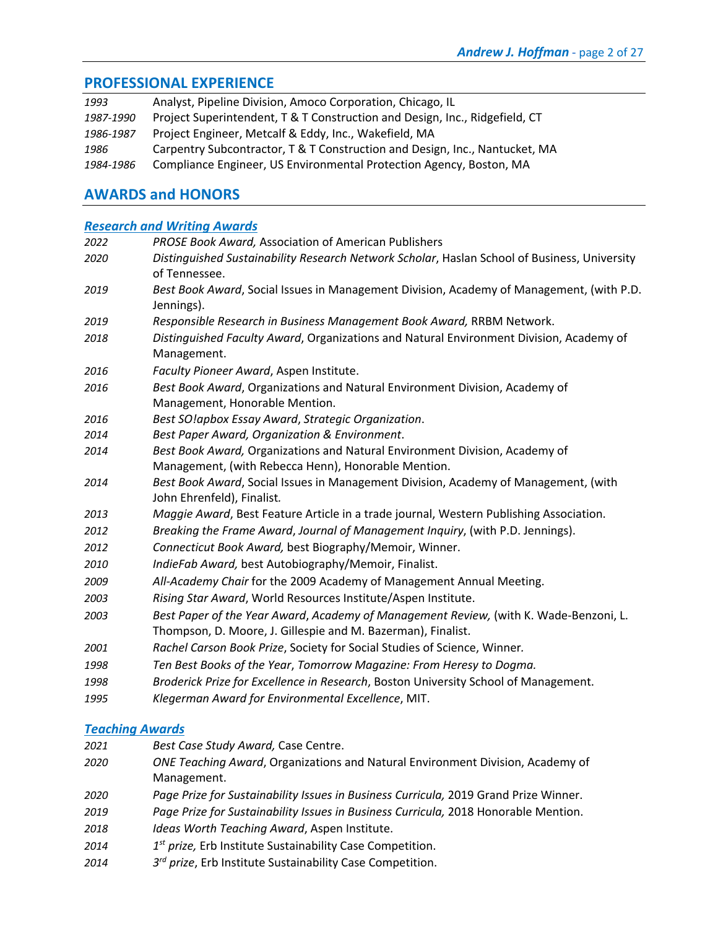### **PROFESSIONAL EXPERIENCE**

| 1993      | Analyst, Pipeline Division, Amoco Corporation, Chicago, IL                  |
|-----------|-----------------------------------------------------------------------------|
| 1987-1990 | Project Superintendent, T & T Construction and Design, Inc., Ridgefield, CT |
| 1986-1987 | Project Engineer, Metcalf & Eddy, Inc., Wakefield, MA                       |
| 1986      | Carpentry Subcontractor, T & T Construction and Design, Inc., Nantucket, MA |
| 1984-1986 | Compliance Engineer, US Environmental Protection Agency, Boston, MA         |

# **AWARDS and HONORS**

### *Research and Writing Awards*

| 2022 | <b>PROSE Book Award, Association of American Publishers</b>                                  |
|------|----------------------------------------------------------------------------------------------|
| 2020 | Distinguished Sustainability Research Network Scholar, Haslan School of Business, University |
|      | of Tennessee.                                                                                |
| 2019 | Best Book Award, Social Issues in Management Division, Academy of Management, (with P.D.     |
|      | Jennings).                                                                                   |
| 2019 | Responsible Research in Business Management Book Award, RRBM Network.                        |
| 2018 | Distinguished Faculty Award, Organizations and Natural Environment Division, Academy of      |
|      | Management.                                                                                  |
| 2016 | Faculty Pioneer Award, Aspen Institute.                                                      |
| 2016 | Best Book Award, Organizations and Natural Environment Division, Academy of                  |
|      | Management, Honorable Mention.                                                               |
| 2016 | Best SO!apbox Essay Award, Strategic Organization.                                           |
| 2014 | Best Paper Award, Organization & Environment.                                                |
| 2014 | Best Book Award, Organizations and Natural Environment Division, Academy of                  |
|      | Management, (with Rebecca Henn), Honorable Mention.                                          |
| 2014 | Best Book Award, Social Issues in Management Division, Academy of Management, (with          |
|      | John Ehrenfeld), Finalist.                                                                   |
| 2013 | Maggie Award, Best Feature Article in a trade journal, Western Publishing Association.       |
| 2012 | Breaking the Frame Award, Journal of Management Inquiry, (with P.D. Jennings).               |
| 2012 | Connecticut Book Award, best Biography/Memoir, Winner.                                       |
| 2010 | IndieFab Award, best Autobiography/Memoir, Finalist.                                         |
| 2009 | All-Academy Chair for the 2009 Academy of Management Annual Meeting.                         |
| 2003 | Rising Star Award, World Resources Institute/Aspen Institute.                                |
| 2003 | Best Paper of the Year Award, Academy of Management Review, (with K. Wade-Benzoni, L.        |
|      | Thompson, D. Moore, J. Gillespie and M. Bazerman), Finalist.                                 |
| 2001 | Rachel Carson Book Prize, Society for Social Studies of Science, Winner.                     |
| 1998 | Ten Best Books of the Year, Tomorrow Magazine: From Heresy to Dogma.                         |
| 1998 | Broderick Prize for Excellence in Research, Boston University School of Management.          |
| 1995 | Klegerman Award for Environmental Excellence, MIT.                                           |
|      |                                                                                              |

# *Teaching Awards*

| 2021 | Best Case Study Award, Case Centre.                                                   |
|------|---------------------------------------------------------------------------------------|
| 2020 | <i>ONE Teaching Award, Organizations and Natural Environment Division, Academy of</i> |
|      | Management.                                                                           |
| 2020 | Page Prize for Sustainability Issues in Business Curricula, 2019 Grand Prize Winner.  |

- *Page Prize for Sustainability Issues in Business Curricula,* 2018 Honorable Mention.
- *Ideas Worth Teaching Award*, Aspen Institute.
- *1st prize,* Erb Institute Sustainability Case Competition.
- *3rd prize*, Erb Institute Sustainability Case Competition.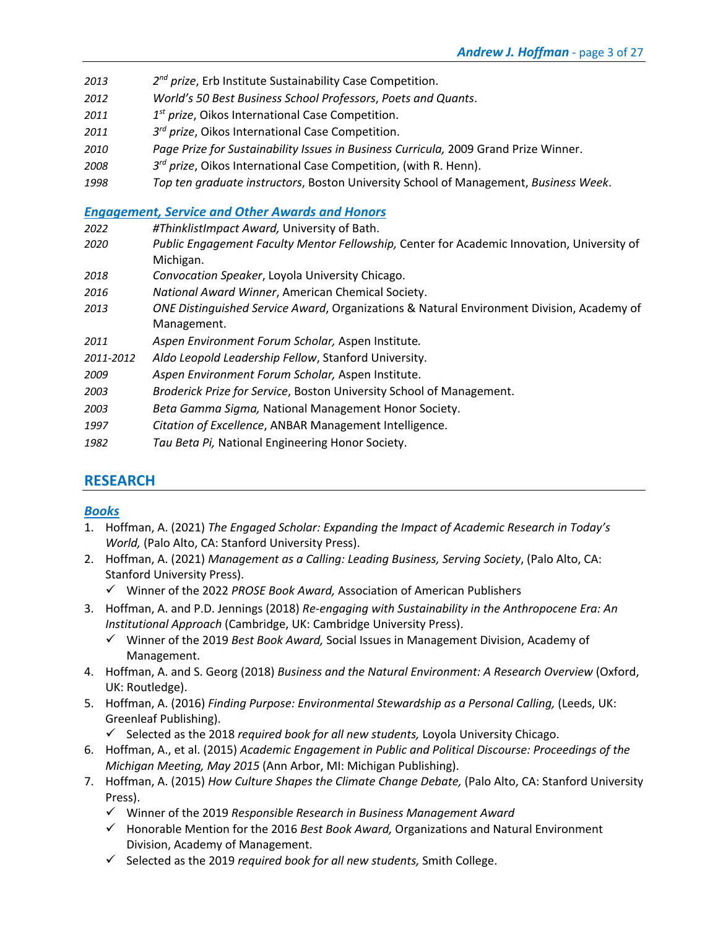- *2013 2nd prize*, Erb Institute Sustainability Case Competition.
- *2012 World's 50 Best Business School Professors*, *Poets and Quants*.
- *2011 1st prize*, Oikos International Case Competition.
- *2011 3rd prize*, Oikos International Case Competition.
- *2010 Page Prize for Sustainability Issues in Business Curricula,* 2009 Grand Prize Winner.
- *2008 3rd prize*, Oikos International Case Competition, (with R. Henn).
- *1998 Top ten graduate instructors*, Boston University School of Management, *Business Week*.

### *Engagement, Service and Other Awards and Honors*

- *2022 #ThinklistImpact Award,* University of Bath.
- *2020 Public Engagement Faculty Mentor Fellowship,* Center for Academic Innovation, University of Michigan.
- *2018 Convocation Speaker*, Loyola University Chicago.
- *2016 National Award Winner*, American Chemical Society.
- *2013 ONE Distinguished Service Award*, Organizations & Natural Environment Division, Academy of Management.
- *2011 Aspen Environment Forum Scholar,* Aspen Institute*.*
- *2011-2012 Aldo Leopold Leadership Fellow*, Stanford University.
- *2009 Aspen Environment Forum Scholar,* Aspen Institute.
- *2003 Broderick Prize for Service*, Boston University School of Management.
- *2003 Beta Gamma Sigma,* National Management Honor Society.
- *1997 Citation of Excellence*, ANBAR Management Intelligence.
- *1982 Tau Beta Pi,* National Engineering Honor Society.

# **RESEARCH**

### *Books*

- 1. Hoffman, A. (2021) *The Engaged Scholar: Expanding the Impact of Academic Research in Today's World,* (Palo Alto, CA: Stanford University Press).
- 2. Hoffman, A. (2021) *Management as a Calling: Leading Business, Serving Society*, (Palo Alto, CA: Stanford University Press).
	- ü Winner of the 2022 *PROSE Book Award,* Association of American Publishers
- 3. Hoffman, A. and P.D. Jennings (2018) *Re-engaging with Sustainability in the Anthropocene Era: An Institutional Approach* (Cambridge, UK: Cambridge University Press).
	- ü Winner of the 2019 *Best Book Award,* Social Issues in Management Division, Academy of Management.
- 4. Hoffman, A. and S. Georg (2018) *Business and the Natural Environment: A Research Overview* (Oxford, UK: Routledge).
- 5. Hoffman, A. (2016) *Finding Purpose: Environmental Stewardship as a Personal Calling,* (Leeds, UK: Greenleaf Publishing).
	- ü Selected as the 2018 *required book for all new students,* Loyola University Chicago.
- 6. Hoffman, A., et al. (2015) *Academic Engagement in Public and Political Discourse: Proceedings of the Michigan Meeting, May 2015* (Ann Arbor, MI: Michigan Publishing).
- 7. Hoffman, A. (2015) *How Culture Shapes the Climate Change Debate,* (Palo Alto, CA: Stanford University Press).
	- ü Winner of the 2019 *Responsible Research in Business Management Award*
	- ü Honorable Mention for the 2016 *Best Book Award,* Organizations and Natural Environment Division, Academy of Management.
	- ü Selected as the 2019 *required book for all new students,* Smith College.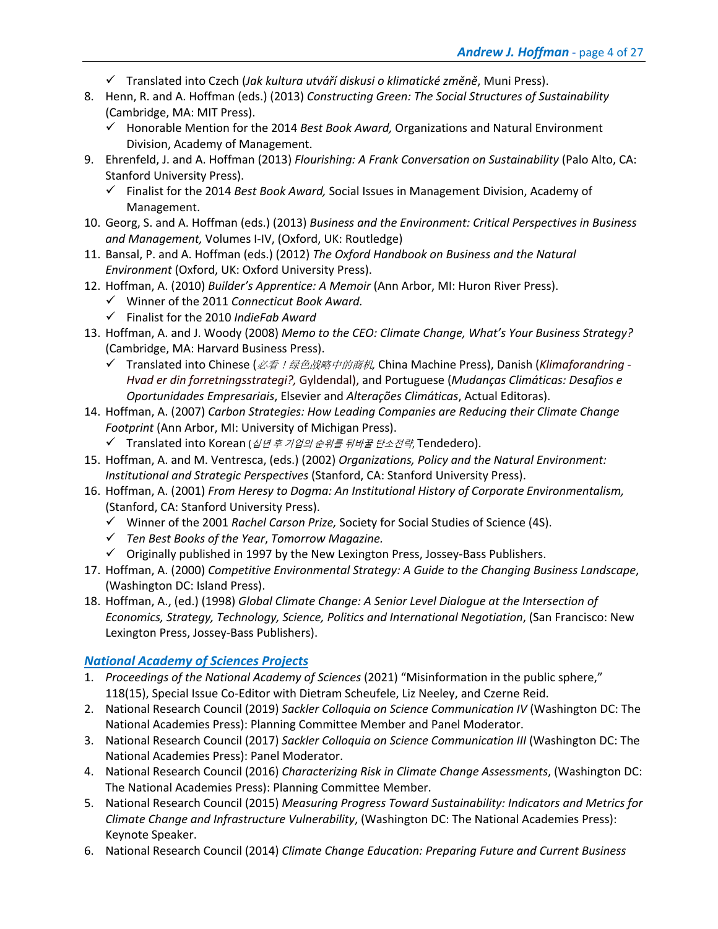- ü Translated into Czech (*Jak kultura utváří diskusi o klimatické změně*, Muni Press).
- 8. Henn, R. and A. Hoffman (eds.) (2013) *Constructing Green: The Social Structures of Sustainability* (Cambridge, MA: MIT Press).
	- ü Honorable Mention for the 2014 *Best Book Award,* Organizations and Natural Environment Division, Academy of Management.
- 9. Ehrenfeld, J. and A. Hoffman (2013) *Flourishing: A Frank Conversation on Sustainability* (Palo Alto, CA: Stanford University Press).
	- ü Finalist for the 2014 *Best Book Award,* Social Issues in Management Division, Academy of Management.
- 10. Georg, S. and A. Hoffman (eds.) (2013) *Business and the Environment: Critical Perspectives in Business and Management,* Volumes I-IV, (Oxford, UK: Routledge)
- 11. Bansal, P. and A. Hoffman (eds.) (2012) *The Oxford Handbook on Business and the Natural Environment* (Oxford, UK: Oxford University Press).
- 12. Hoffman, A. (2010) *Builder's Apprentice: A Memoir* (Ann Arbor, MI: Huron River Press).
	- ü Winner of the 2011 *Connecticut Book Award.*
	- ü Finalist for the 2010 *IndieFab Award*
- 13. Hoffman, A. and J. Woody (2008) *Memo to the CEO: Climate Change, What's Your Business Strategy?* (Cambridge, MA: Harvard Business Press).
	- ü Translated into Chinese (必看!绿色战略中的商机*,* China Machine Press), Danish (*Klimaforandring - Hvad er din forretningsstrategi?,* Gyldendal), and Portuguese (*Mudanças Climáticas: Desafios e Oportunidades Empresariais*, Elsevier and *Alterações Climáticas*, Actual Editoras).
- 14. Hoffman, A. (2007) *Carbon Strategies: How Leading Companies are Reducing their Climate Change Footprint* (Ann Arbor, MI: University of Michigan Press).
	- ✔ Translated into Korean (십년 후 기업의 순위를 뒤바꿀 탄소전략, Tendedero).
- 15. Hoffman, A. and M. Ventresca, (eds.) (2002) *Organizations, Policy and the Natural Environment: Institutional and Strategic Perspectives* (Stanford, CA: Stanford University Press).
- 16. Hoffman, A. (2001) *From Heresy to Dogma: An Institutional History of Corporate Environmentalism,*  (Stanford, CA: Stanford University Press).
	- ü Winner of the 2001 *Rachel Carson Prize,* Society for Social Studies of Science (4S).
	- ü *Ten Best Books of the Year*, *Tomorrow Magazine.*
	- $\checkmark$  Originally published in 1997 by the New Lexington Press, Jossey-Bass Publishers.
- 17. Hoffman, A. (2000) *Competitive Environmental Strategy: A Guide to the Changing Business Landscape*, (Washington DC: Island Press).
- 18. Hoffman, A., (ed.) (1998) *Global Climate Change: A Senior Level Dialogue at the Intersection of Economics, Strategy, Technology, Science, Politics and International Negotiation*, (San Francisco: New Lexington Press, Jossey-Bass Publishers).

### *National Academy of Sciences Projects*

- 1. *Proceedings of the National Academy of Sciences* (2021) "Misinformation in the public sphere," 118(15), Special Issue Co-Editor with Dietram Scheufele, Liz Neeley, and Czerne Reid.
- 2. National Research Council (2019) *Sackler Colloquia on Science Communication IV* (Washington DC: The National Academies Press): Planning Committee Member and Panel Moderator.
- 3. National Research Council (2017) *Sackler Colloquia on Science Communication III* (Washington DC: The National Academies Press): Panel Moderator.
- 4. National Research Council (2016) *Characterizing Risk in Climate Change Assessments*, (Washington DC: The National Academies Press): Planning Committee Member.
- 5. National Research Council (2015) *Measuring Progress Toward Sustainability: Indicators and Metrics for Climate Change and Infrastructure Vulnerability*, (Washington DC: The National Academies Press): Keynote Speaker.
- 6. National Research Council (2014) *Climate Change Education: Preparing Future and Current Business*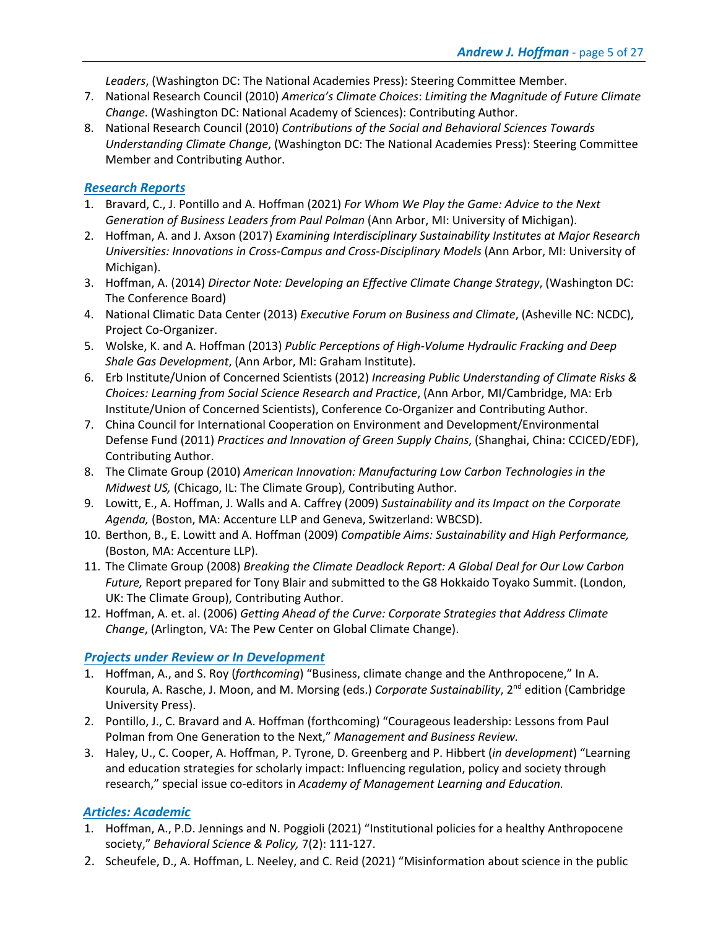*Leaders*, (Washington DC: The National Academies Press): Steering Committee Member.

- 7. National Research Council (2010) *America's Climate Choices*: *Limiting the Magnitude of Future Climate Change*. (Washington DC: National Academy of Sciences): Contributing Author.
- 8. National Research Council (2010) *Contributions of the Social and Behavioral Sciences Towards Understanding Climate Change*, (Washington DC: The National Academies Press): Steering Committee Member and Contributing Author.

### *Research Reports*

- 1. Bravard, C., J. Pontillo and A. Hoffman (2021) *For Whom We Play the Game: Advice to the Next Generation of Business Leaders from Paul Polman* (Ann Arbor, MI: University of Michigan).
- 2. Hoffman, A. and J. Axson (2017) *Examining Interdisciplinary Sustainability Institutes at Major Research Universities: Innovations in Cross-Campus and Cross-Disciplinary Models* (Ann Arbor, MI: University of Michigan).
- 3. Hoffman, A. (2014) *Director Note: Developing an Effective Climate Change Strategy*, (Washington DC: The Conference Board)
- 4. National Climatic Data Center (2013) *Executive Forum on Business and Climate*, (Asheville NC: NCDC), Project Co-Organizer.
- 5. Wolske, K. and A. Hoffman (2013) *Public Perceptions of High-Volume Hydraulic Fracking and Deep Shale Gas Development*, (Ann Arbor, MI: Graham Institute).
- 6. Erb Institute/Union of Concerned Scientists (2012) *Increasing Public Understanding of Climate Risks & Choices: Learning from Social Science Research and Practice*, (Ann Arbor, MI/Cambridge, MA: Erb Institute/Union of Concerned Scientists), Conference Co-Organizer and Contributing Author.
- 7. China Council for International Cooperation on Environment and Development/Environmental Defense Fund (2011) *Practices and Innovation of Green Supply Chains*, (Shanghai, China: CCICED/EDF), Contributing Author.
- 8. The Climate Group (2010) *American Innovation: Manufacturing Low Carbon Technologies in the Midwest US,* (Chicago, IL: The Climate Group), Contributing Author.
- 9. Lowitt, E., A. Hoffman, J. Walls and A. Caffrey (2009) *Sustainability and its Impact on the Corporate Agenda,* (Boston, MA: Accenture LLP and Geneva, Switzerland: WBCSD).
- 10. Berthon, B., E. Lowitt and A. Hoffman (2009) *Compatible Aims: Sustainability and High Performance,* (Boston, MA: Accenture LLP).
- 11. The Climate Group (2008) *Breaking the Climate Deadlock Report: A Global Deal for Our Low Carbon Future,* Report prepared for Tony Blair and submitted to the G8 Hokkaido Toyako Summit. (London, UK: The Climate Group), Contributing Author.
- 12. Hoffman, A. et. al. (2006) *Getting Ahead of the Curve: Corporate Strategies that Address Climate Change*, (Arlington, VA: The Pew Center on Global Climate Change).

# *Projects under Review or In Development*

- 1. Hoffman, A., and S. Roy (*forthcoming*) "Business, climate change and the Anthropocene," In A. Kourula, A. Rasche, J. Moon, and M. Morsing (eds.) *Corporate Sustainability*, 2nd edition (Cambridge University Press).
- 2. Pontillo, J., C. Bravard and A. Hoffman (forthcoming) "Courageous leadership: Lessons from Paul Polman from One Generation to the Next," *Management and Business Review.*
- 3. Haley, U., C. Cooper, A. Hoffman, P. Tyrone, D. Greenberg and P. Hibbert (*in development*) "Learning and education strategies for scholarly impact: Influencing regulation, policy and society through research," special issue co-editors in *Academy of Management Learning and Education.*

# *Articles: Academic*

- 1. Hoffman, A., P.D. Jennings and N. Poggioli (2021) "Institutional policies for a healthy Anthropocene society," *Behavioral Science & Policy,* 7(2): 111-127.
- 2. Scheufele, D., A. Hoffman, L. Neeley, and C. Reid (2021) "Misinformation about science in the public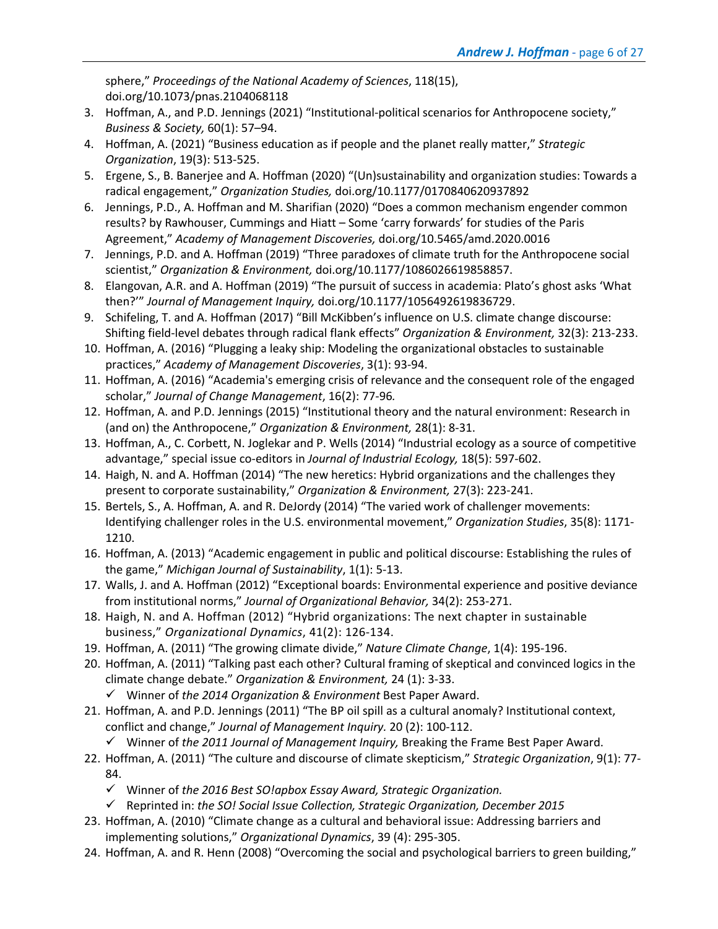sphere," *Proceedings of the National Academy of Sciences*, 118(15), doi.org/10.1073/pnas.2104068118

- 3. Hoffman, A., and P.D. Jennings (2021) "Institutional-political scenarios for Anthropocene society," *Business & Society,* 60(1): 57–94.
- 4. Hoffman, A. (2021) "Business education as if people and the planet really matter," *Strategic Organization*, 19(3): 513-525.
- 5. Ergene, S., B. Banerjee and A. Hoffman (2020) "(Un)sustainability and organization studies: Towards a radical engagement," *Organization Studies,* doi.org/10.1177/0170840620937892
- 6. Jennings, P.D., A. Hoffman and M. Sharifian (2020) "Does a common mechanism engender common results? by Rawhouser, Cummings and Hiatt – Some 'carry forwards' for studies of the Paris Agreement," *Academy of Management Discoveries,* doi.org/10.5465/amd.2020.0016
- 7. Jennings, P.D. and A. Hoffman (2019) "Three paradoxes of climate truth for the Anthropocene social scientist," *Organization & Environment,* doi.org/10.1177/1086026619858857.
- 8. Elangovan, A.R. and A. Hoffman (2019) "The pursuit of success in academia: Plato's ghost asks 'What then?'" *Journal of Management Inquiry,* doi.org/10.1177/1056492619836729.
- 9. Schifeling, T. and A. Hoffman (2017) "Bill McKibben's influence on U.S. climate change discourse: Shifting field-level debates through radical flank effects" *Organization & Environment,* 32(3): 213-233.
- 10. Hoffman, A. (2016) "Plugging a leaky ship: Modeling the organizational obstacles to sustainable practices," *Academy of Management Discoveries*, 3(1): 93-94.
- 11. Hoffman, A. (2016) "Academia's emerging crisis of relevance and the consequent role of the engaged scholar," *Journal of Change Management*, 16(2): 77-96*.*
- 12. Hoffman, A. and P.D. Jennings (2015) "Institutional theory and the natural environment: Research in (and on) the Anthropocene," *Organization & Environment,* 28(1): 8-31.
- 13. Hoffman, A., C. Corbett, N. Joglekar and P. Wells (2014) "Industrial ecology as a source of competitive advantage," special issue co-editors in *Journal of Industrial Ecology,* 18(5): 597-602.
- 14. Haigh, N. and A. Hoffman (2014) "The new heretics: Hybrid organizations and the challenges they present to corporate sustainability," *Organization & Environment,* 27(3): 223-241.
- 15. Bertels, S., A. Hoffman, A. and R. DeJordy (2014) "The varied work of challenger movements: Identifying challenger roles in the U.S. environmental movement," *Organization Studies*, 35(8): 1171- 1210.
- 16. Hoffman, A. (2013) "Academic engagement in public and political discourse: Establishing the rules of the game," *Michigan Journal of Sustainability*, 1(1): 5-13.
- 17. Walls, J. and A. Hoffman (2012) "Exceptional boards: Environmental experience and positive deviance from institutional norms," *Journal of Organizational Behavior,* 34(2): 253-271.
- 18. Haigh, N. and A. Hoffman (2012) "Hybrid organizations: The next chapter in sustainable business," *Organizational Dynamics*, 41(2): 126-134.
- 19. Hoffman, A. (2011) "The growing climate divide," *Nature Climate Change*, 1(4): 195-196.
- 20. Hoffman, A. (2011) "Talking past each other? Cultural framing of skeptical and convinced logics in the climate change debate." *Organization & Environment,* 24 (1): 3-33. ü Winner of *the 2014 Organization & Environment* Best Paper Award.
- 21. Hoffman, A. and P.D. Jennings (2011) "The BP oil spill as a cultural anomaly? Institutional context, conflict and change," *Journal of Management Inquiry.* 20 (2): 100-112.
	- ü Winner of *the 2011 Journal of Management Inquiry,* Breaking the Frame Best Paper Award.
- 22. Hoffman, A. (2011) "The culture and discourse of climate skepticism," *Strategic Organization*, 9(1): 77- 84.
	- ü Winner of *the 2016 Best SO!apbox Essay Award, Strategic Organization.*
	- ü Reprinted in: *the SO! Social Issue Collection, Strategic Organization, December 2015*
- 23. Hoffman, A. (2010) "Climate change as a cultural and behavioral issue: Addressing barriers and implementing solutions," *Organizational Dynamics*, 39 (4): 295-305.
- 24. Hoffman, A. and R. Henn (2008) "Overcoming the social and psychological barriers to green building,"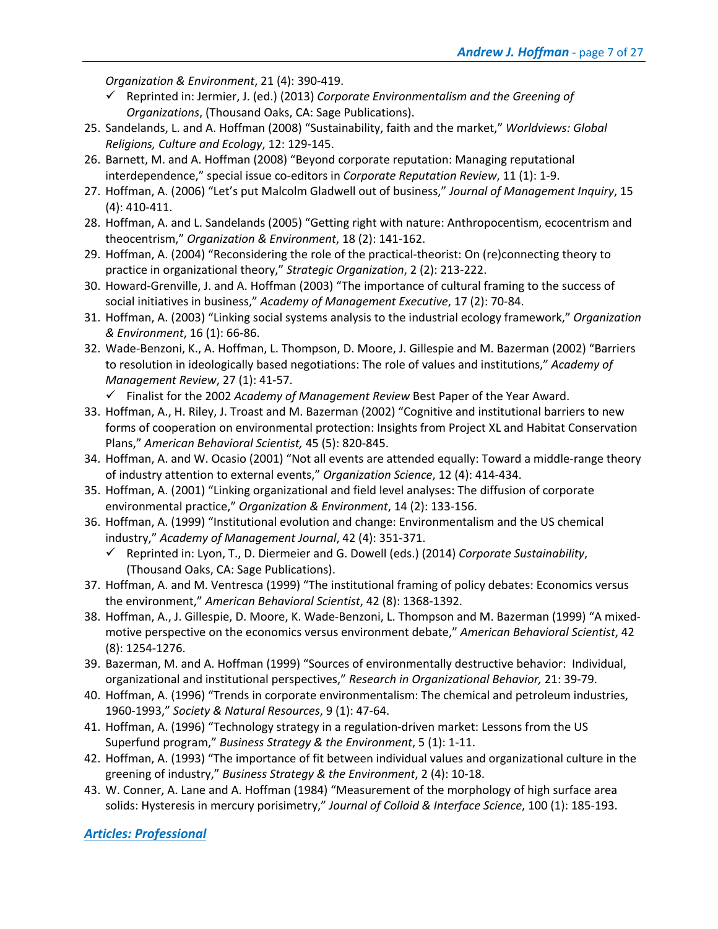*Organization & Environment*, 21 (4): 390-419.

- ü Reprinted in: Jermier, J. (ed.) (2013) *Corporate Environmentalism and the Greening of Organizations*, (Thousand Oaks, CA: Sage Publications).
- 25. Sandelands, L. and A. Hoffman (2008) "Sustainability, faith and the market," *Worldviews: Global Religions, Culture and Ecology*, 12: 129-145.
- 26. Barnett, M. and A. Hoffman (2008) "Beyond corporate reputation: Managing reputational interdependence," special issue co-editors in *Corporate Reputation Review*, 11 (1): 1-9.
- 27. Hoffman, A. (2006) "Let's put Malcolm Gladwell out of business," *Journal of Management Inquiry*, 15 (4): 410-411.
- 28. Hoffman, A. and L. Sandelands (2005) "Getting right with nature: Anthropocentism, ecocentrism and theocentrism," *Organization & Environment*, 18 (2): 141-162.
- 29. Hoffman, A. (2004) "Reconsidering the role of the practical-theorist: On (re)connecting theory to practice in organizational theory," *Strategic Organization*, 2 (2): 213-222.
- 30. Howard-Grenville, J. and A. Hoffman (2003) "The importance of cultural framing to the success of social initiatives in business," *Academy of Management Executive*, 17 (2): 70-84.
- 31. Hoffman, A. (2003) "Linking social systems analysis to the industrial ecology framework," *Organization & Environment*, 16 (1): 66-86.
- 32. Wade-Benzoni, K., A. Hoffman, L. Thompson, D. Moore, J. Gillespie and M. Bazerman (2002) "Barriers to resolution in ideologically based negotiations: The role of values and institutions," *Academy of Management Review*, 27 (1): 41-57.
	- ü Finalist for the 2002 *Academy of Management Review* Best Paper of the Year Award.
- 33. Hoffman, A., H. Riley, J. Troast and M. Bazerman (2002) "Cognitive and institutional barriers to new forms of cooperation on environmental protection: Insights from Project XL and Habitat Conservation Plans," *American Behavioral Scientist,* 45 (5): 820-845.
- 34. Hoffman, A. and W. Ocasio (2001) "Not all events are attended equally: Toward a middle-range theory of industry attention to external events," *Organization Science*, 12 (4): 414-434.
- 35. Hoffman, A. (2001) "Linking organizational and field level analyses: The diffusion of corporate environmental practice," *Organization & Environment*, 14 (2): 133-156.
- 36. Hoffman, A. (1999) "Institutional evolution and change: Environmentalism and the US chemical industry," *Academy of Management Journal*, 42 (4): 351-371.
	- ü Reprinted in: Lyon, T., D. Diermeier and G. Dowell (eds.) (2014) *Corporate Sustainability*, (Thousand Oaks, CA: Sage Publications).
- 37. Hoffman, A. and M. Ventresca (1999) "The institutional framing of policy debates: Economics versus the environment," *American Behavioral Scientist*, 42 (8): 1368-1392.
- 38. Hoffman, A., J. Gillespie, D. Moore, K. Wade-Benzoni, L. Thompson and M. Bazerman (1999) "A mixedmotive perspective on the economics versus environment debate," *American Behavioral Scientist*, 42 (8): 1254-1276.
- 39. Bazerman, M. and A. Hoffman (1999) "Sources of environmentally destructive behavior: Individual, organizational and institutional perspectives," *Research in Organizational Behavior,* 21: 39-79.
- 40. Hoffman, A. (1996) "Trends in corporate environmentalism: The chemical and petroleum industries, 1960-1993," *Society & Natural Resources*, 9 (1): 47-64.
- 41. Hoffman, A. (1996) "Technology strategy in a regulation-driven market: Lessons from the US Superfund program," *Business Strategy & the Environment*, 5 (1): 1-11.
- 42. Hoffman, A. (1993) "The importance of fit between individual values and organizational culture in the greening of industry," *Business Strategy & the Environment*, 2 (4): 10-18.
- 43. W. Conner, A. Lane and A. Hoffman (1984) "Measurement of the morphology of high surface area solids: Hysteresis in mercury porisimetry," *Journal of Colloid & Interface Science*, 100 (1): 185-193.

*Articles: Professional*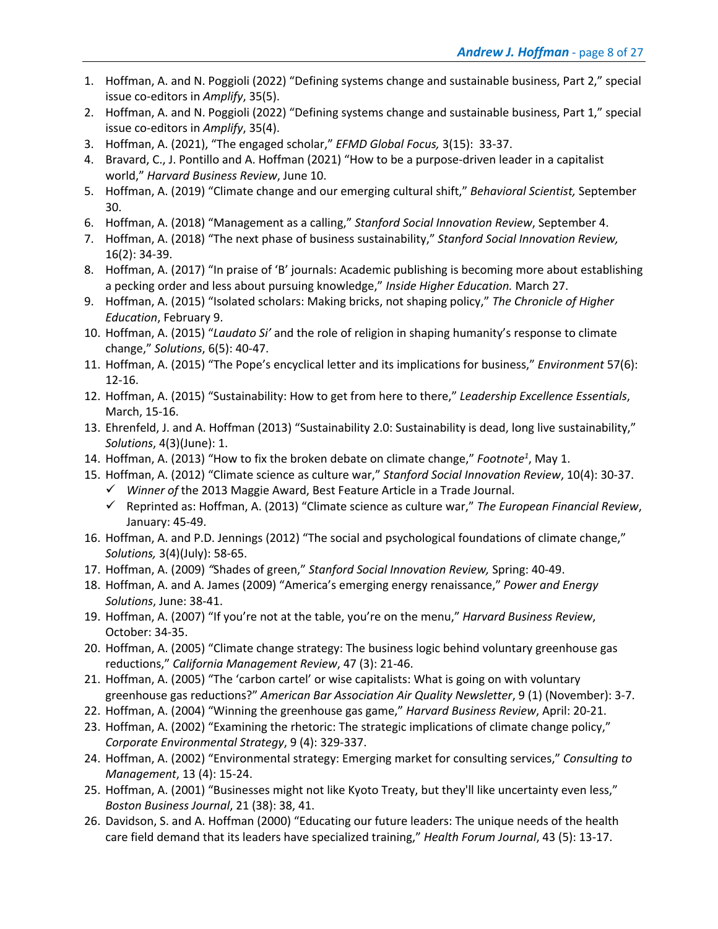- 1. Hoffman, A. and N. Poggioli (2022) "Defining systems change and sustainable business, Part 2," special issue co-editors in *Amplify*, 35(5).
- 2. Hoffman, A. and N. Poggioli (2022) "Defining systems change and sustainable business, Part 1," special issue co-editors in *Amplify*, 35(4).
- 3. Hoffman, A. (2021), "The engaged scholar," *EFMD Global Focus,* 3(15): 33-37.
- 4. Bravard, C., J. Pontillo and A. Hoffman (2021) "How to be a purpose-driven leader in a capitalist world," *Harvard Business Review*, June 10.
- 5. Hoffman, A. (2019) "Climate change and our emerging cultural shift," *Behavioral Scientist,* September 30.
- 6. Hoffman, A. (2018) "Management as a calling," *Stanford Social Innovation Review*, September 4.
- 7. Hoffman, A. (2018) "The next phase of business sustainability," *Stanford Social Innovation Review,*  16(2): 34-39.
- 8. Hoffman, A. (2017) "In praise of 'B' journals: Academic publishing is becoming more about establishing a pecking order and less about pursuing knowledge," *Inside Higher Education.* March 27.
- 9. Hoffman, A. (2015) "Isolated scholars: Making bricks, not shaping policy," *The Chronicle of Higher Education*, February 9.
- 10. Hoffman, A. (2015) "*Laudato Si'* and the role of religion in shaping humanity's response to climate change," *Solutions*, 6(5): 40-47.
- 11. Hoffman, A. (2015) "The Pope's encyclical letter and its implications for business," *Environment* 57(6): 12-16.
- 12. Hoffman, A. (2015) "Sustainability: How to get from here to there," *Leadership Excellence Essentials*, March, 15-16.
- 13. Ehrenfeld, J. and A. Hoffman (2013) "Sustainability 2.0: Sustainability is dead, long live sustainability," *Solutions*, 4(3)(June): 1.
- 14. Hoffman, A. (2013) "How to fix the broken debate on climate change," Footnote<sup>1</sup>, May 1.
- 15. Hoffman, A. (2012) "Climate science as culture war," *Stanford Social Innovation Review*, 10(4): 30-37.
	- ü *Winner of* the 2013 Maggie Award, Best Feature Article in a Trade Journal.
	- ü Reprinted as: Hoffman, A. (2013) "Climate science as culture war," *The European Financial Review*, January: 45-49.
- 16. Hoffman, A. and P.D. Jennings (2012) "The social and psychological foundations of climate change," *Solutions,* 3(4)(July): 58-65.
- 17. Hoffman, A. (2009) *"*Shades of green," *Stanford Social Innovation Review,* Spring: 40-49.
- 18. Hoffman, A. and A. James (2009) "America's emerging energy renaissance," *Power and Energy Solutions*, June: 38-41.
- 19. Hoffman, A. (2007) "If you're not at the table, you're on the menu," *Harvard Business Review*, October: 34-35.
- 20. Hoffman, A. (2005) "Climate change strategy: The business logic behind voluntary greenhouse gas reductions," *California Management Review*, 47 (3): 21-46.
- 21. Hoffman, A. (2005) "The 'carbon cartel' or wise capitalists: What is going on with voluntary greenhouse gas reductions?" *American Bar Association Air Quality Newsletter*, 9 (1) (November): 3-7.
- 22. Hoffman, A. (2004) "Winning the greenhouse gas game," *Harvard Business Review*, April: 20-21.
- 23. Hoffman, A. (2002) "Examining the rhetoric: The strategic implications of climate change policy," *Corporate Environmental Strategy*, 9 (4): 329-337.
- 24. Hoffman, A. (2002) "Environmental strategy: Emerging market for consulting services," *Consulting to Management*, 13 (4): 15-24.
- 25. Hoffman, A. (2001) "Businesses might not like Kyoto Treaty, but they'll like uncertainty even less," *Boston Business Journal*, 21 (38): 38, 41.
- 26. Davidson, S. and A. Hoffman (2000) "Educating our future leaders: The unique needs of the health care field demand that its leaders have specialized training," *Health Forum Journal*, 43 (5): 13-17.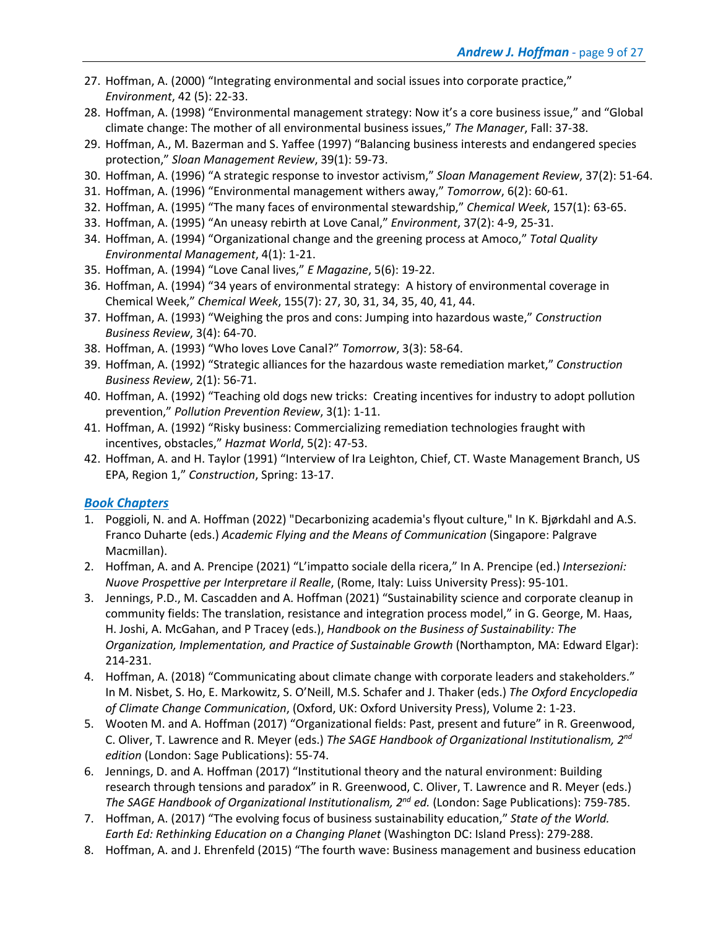- 27. Hoffman, A. (2000) "Integrating environmental and social issues into corporate practice," *Environment*, 42 (5): 22-33.
- 28. Hoffman, A. (1998) "Environmental management strategy: Now it's a core business issue," and "Global climate change: The mother of all environmental business issues," *The Manager*, Fall: 37-38.
- 29. Hoffman, A., M. Bazerman and S. Yaffee (1997) "Balancing business interests and endangered species protection," *Sloan Management Review*, 39(1): 59-73.
- 30. Hoffman, A. (1996) "A strategic response to investor activism," *Sloan Management Review*, 37(2): 51-64.
- 31. Hoffman, A. (1996) "Environmental management withers away," *Tomorrow*, 6(2): 60-61.
- 32. Hoffman, A. (1995) "The many faces of environmental stewardship," *Chemical Week*, 157(1): 63-65.
- 33. Hoffman, A. (1995) "An uneasy rebirth at Love Canal," *Environment*, 37(2): 4-9, 25-31.
- 34. Hoffman, A. (1994) "Organizational change and the greening process at Amoco," *Total Quality Environmental Management*, 4(1): 1-21.
- 35. Hoffman, A. (1994) "Love Canal lives," *E Magazine*, 5(6): 19-22.
- 36. Hoffman, A. (1994) "34 years of environmental strategy: A history of environmental coverage in Chemical Week," *Chemical Week*, 155(7): 27, 30, 31, 34, 35, 40, 41, 44.
- 37. Hoffman, A. (1993) "Weighing the pros and cons: Jumping into hazardous waste," *Construction Business Review*, 3(4): 64-70.
- 38. Hoffman, A. (1993) "Who loves Love Canal?" *Tomorrow*, 3(3): 58-64.
- 39. Hoffman, A. (1992) "Strategic alliances for the hazardous waste remediation market," *Construction Business Review*, 2(1): 56-71.
- 40. Hoffman, A. (1992) "Teaching old dogs new tricks: Creating incentives for industry to adopt pollution prevention," *Pollution Prevention Review*, 3(1): 1-11.
- 41. Hoffman, A. (1992) "Risky business: Commercializing remediation technologies fraught with incentives, obstacles," *Hazmat World*, 5(2): 47-53.
- 42. Hoffman, A. and H. Taylor (1991) "Interview of Ira Leighton, Chief, CT. Waste Management Branch, US EPA, Region 1," *Construction*, Spring: 13-17.

### *Book Chapters*

- 1. Poggioli, N. and A. Hoffman (2022) "Decarbonizing academia's flyout culture," In K. Bjørkdahl and A.S. Franco Duharte (eds.) *Academic Flying and the Means of Communication* (Singapore: Palgrave Macmillan).
- 2. Hoffman, A. and A. Prencipe (2021) "L'impatto sociale della ricera," In A. Prencipe (ed.) *Intersezioni: Nuove Prospettive per Interpretare il Realle*, (Rome, Italy: Luiss University Press): 95-101.
- 3. Jennings, P.D., M. Cascadden and A. Hoffman (2021) "Sustainability science and corporate cleanup in community fields: The translation, resistance and integration process model," in G. George, M. Haas, H. Joshi, A. McGahan, and P Tracey (eds.), *Handbook on the Business of Sustainability: The Organization, Implementation, and Practice of Sustainable Growth* (Northampton, MA: Edward Elgar): 214-231.
- 4. Hoffman, A. (2018) "Communicating about climate change with corporate leaders and stakeholders." In M. Nisbet, S. Ho, E. Markowitz, S. O'Neill, M.S. Schafer and J. Thaker (eds.) *The Oxford Encyclopedia of Climate Change Communication*, (Oxford, UK: Oxford University Press), Volume 2: 1-23.
- 5. Wooten M. and A. Hoffman (2017) "Organizational fields: Past, present and future" in R. Greenwood, C. Oliver, T. Lawrence and R. Meyer (eds.) *The SAGE Handbook of Organizational Institutionalism, 2nd edition* (London: Sage Publications): 55-74.
- 6. Jennings, D. and A. Hoffman (2017) "Institutional theory and the natural environment: Building research through tensions and paradox" in R. Greenwood, C. Oliver, T. Lawrence and R. Meyer (eds.) *The SAGE Handbook of Organizational Institutionalism, 2nd ed.* (London: Sage Publications): 759-785.
- 7. Hoffman, A. (2017) "The evolving focus of business sustainability education," *State of the World. Earth Ed: Rethinking Education on a Changing Planet* (Washington DC: Island Press): 279-288.
- 8. Hoffman, A. and J. Ehrenfeld (2015) "The fourth wave: Business management and business education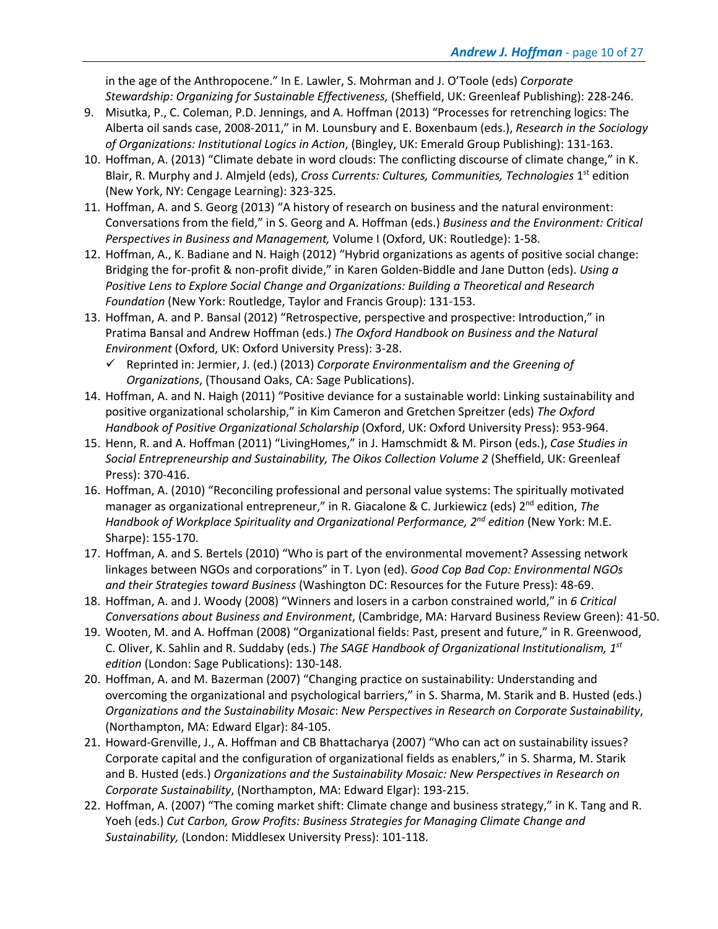in the age of the Anthropocene." In E. Lawler, S. Mohrman and J. O'Toole (eds) *Corporate Stewardship: Organizing for Sustainable Effectiveness,* (Sheffield, UK: Greenleaf Publishing): 228-246.

- 9. Misutka, P., C. Coleman, P.D. Jennings, and A. Hoffman (2013) "Processes for retrenching logics: The Alberta oil sands case, 2008-2011," in M. Lounsbury and E. Boxenbaum (eds.), *Research in the Sociology of Organizations: Institutional Logics in Action*, (Bingley, UK: Emerald Group Publishing): 131-163.
- 10. Hoffman, A. (2013) "Climate debate in word clouds: The conflicting discourse of climate change," in K. Blair, R. Murphy and J. Almjeld (eds), *Cross Currents: Cultures, Communities, Technologies* 1st edition (New York, NY: Cengage Learning): 323-325.
- 11. Hoffman, A. and S. Georg (2013) "A history of research on business and the natural environment: Conversations from the field," in S. Georg and A. Hoffman (eds.) *Business and the Environment: Critical Perspectives in Business and Management,* Volume I (Oxford, UK: Routledge): 1-58.
- 12. Hoffman, A., K. Badiane and N. Haigh (2012) "Hybrid organizations as agents of positive social change: Bridging the for-profit & non-profit divide," in Karen Golden-Biddle and Jane Dutton (eds). *Using a Positive Lens to Explore Social Change and Organizations: Building a Theoretical and Research Foundation* (New York: Routledge, Taylor and Francis Group): 131-153.
- 13. Hoffman, A. and P. Bansal (2012) "Retrospective, perspective and prospective: Introduction," in Pratima Bansal and Andrew Hoffman (eds.) *The Oxford Handbook on Business and the Natural Environment* (Oxford, UK: Oxford University Press): 3-28.
	- ü Reprinted in: Jermier, J. (ed.) (2013) *Corporate Environmentalism and the Greening of Organizations*, (Thousand Oaks, CA: Sage Publications).
- 14. Hoffman, A. and N. Haigh (2011) "Positive deviance for a sustainable world: Linking sustainability and positive organizational scholarship," in Kim Cameron and Gretchen Spreitzer (eds) *The Oxford Handbook of Positive Organizational Scholarship* (Oxford, UK: Oxford University Press): 953-964.
- 15. Henn, R. and A. Hoffman (2011) "LivingHomes," in J. Hamschmidt & M. Pirson (eds.), *Case Studies in Social Entrepreneurship and Sustainability, The Oikos Collection Volume 2* (Sheffield, UK: Greenleaf Press): 370-416.
- 16. Hoffman, A. (2010) "Reconciling professional and personal value systems: The spiritually motivated manager as organizational entrepreneur," in R. Giacalone & C. Jurkiewicz (eds) 2<sup>nd</sup> edition, *The Handbook of Workplace Spirituality and Organizational Performance, 2nd edition* (New York: M.E. Sharpe): 155-170.
- 17. Hoffman, A. and S. Bertels (2010) "Who is part of the environmental movement? Assessing network linkages between NGOs and corporations" in T. Lyon (ed). *Good Cop Bad Cop: Environmental NGOs and their Strategies toward Business* (Washington DC: Resources for the Future Press): 48-69.
- 18. Hoffman, A. and J. Woody (2008) "Winners and losers in a carbon constrained world," in *6 Critical Conversations about Business and Environment*, (Cambridge, MA: Harvard Business Review Green): 41-50.
- 19. Wooten, M. and A. Hoffman (2008) "Organizational fields: Past, present and future," in R. Greenwood, C. Oliver, K. Sahlin and R. Suddaby (eds.) *The SAGE Handbook of Organizational Institutionalism, 1st edition* (London: Sage Publications): 130-148.
- 20. Hoffman, A. and M. Bazerman (2007) "Changing practice on sustainability: Understanding and overcoming the organizational and psychological barriers," in S. Sharma, M. Starik and B. Husted (eds.) *Organizations and the Sustainability Mosaic*: *New Perspectives in Research on Corporate Sustainability*, (Northampton, MA: Edward Elgar): 84-105.
- 21. Howard-Grenville, J., A. Hoffman and CB Bhattacharya (2007) "Who can act on sustainability issues? Corporate capital and the configuration of organizational fields as enablers," in S. Sharma, M. Starik and B. Husted (eds.) *Organizations and the Sustainability Mosaic: New Perspectives in Research on Corporate Sustainability*, (Northampton, MA: Edward Elgar): 193-215.
- 22. Hoffman, A. (2007) "The coming market shift: Climate change and business strategy," in K. Tang and R. Yoeh (eds.) *Cut Carbon, Grow Profits: Business Strategies for Managing Climate Change and Sustainability,* (London: Middlesex University Press): 101-118.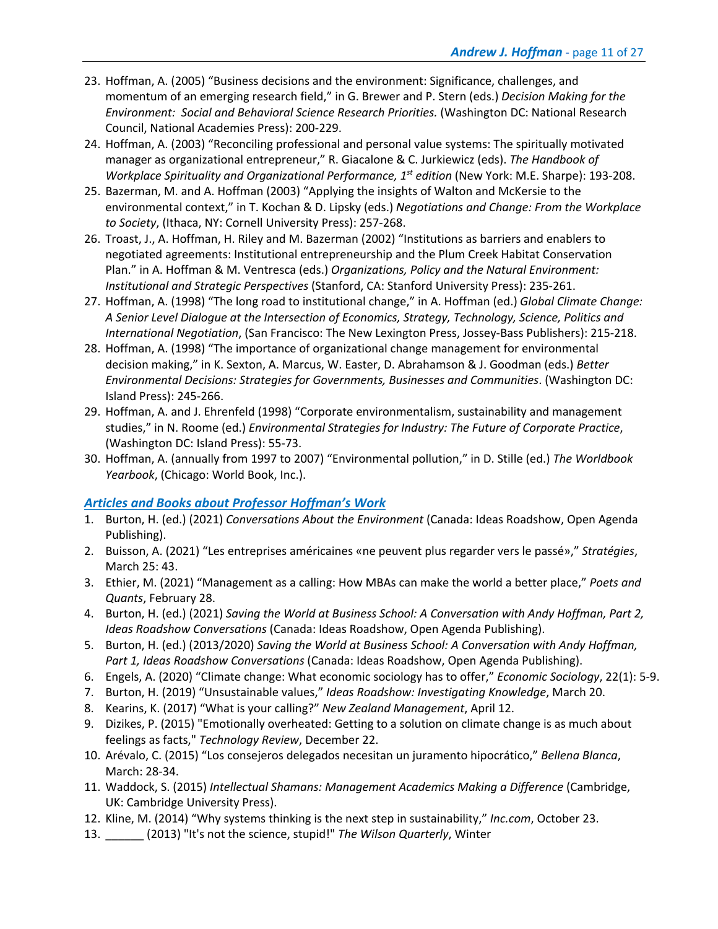- 23. Hoffman, A. (2005) "Business decisions and the environment: Significance, challenges, and momentum of an emerging research field," in G. Brewer and P. Stern (eds.) *Decision Making for the Environment: Social and Behavioral Science Research Priorities.* (Washington DC: National Research Council, National Academies Press): 200-229.
- 24. Hoffman, A. (2003) "Reconciling professional and personal value systems: The spiritually motivated manager as organizational entrepreneur," R. Giacalone & C. Jurkiewicz (eds). *The Handbook of Workplace Spirituality and Organizational Performance, 1st edition* (New York: M.E. Sharpe): 193-208.
- 25. Bazerman, M. and A. Hoffman (2003) "Applying the insights of Walton and McKersie to the environmental context," in T. Kochan & D. Lipsky (eds.) *Negotiations and Change: From the Workplace to Society*, (Ithaca, NY: Cornell University Press): 257-268.
- 26. Troast, J., A. Hoffman, H. Riley and M. Bazerman (2002) "Institutions as barriers and enablers to negotiated agreements: Institutional entrepreneurship and the Plum Creek Habitat Conservation Plan." in A. Hoffman & M. Ventresca (eds.) *Organizations, Policy and the Natural Environment: Institutional and Strategic Perspectives* (Stanford, CA: Stanford University Press): 235-261.
- 27. Hoffman, A. (1998) "The long road to institutional change," in A. Hoffman (ed.) *Global Climate Change: A Senior Level Dialogue at the Intersection of Economics, Strategy, Technology, Science, Politics and International Negotiation*, (San Francisco: The New Lexington Press, Jossey-Bass Publishers): 215-218.
- 28. Hoffman, A. (1998) "The importance of organizational change management for environmental decision making," in K. Sexton, A. Marcus, W. Easter, D. Abrahamson & J. Goodman (eds.) *Better Environmental Decisions: Strategies for Governments, Businesses and Communities*. (Washington DC: Island Press): 245-266.
- 29. Hoffman, A. and J. Ehrenfeld (1998) "Corporate environmentalism, sustainability and management studies," in N. Roome (ed.) *Environmental Strategies for Industry: The Future of Corporate Practice*, (Washington DC: Island Press): 55-73.
- 30. Hoffman, A. (annually from 1997 to 2007) "Environmental pollution," in D. Stille (ed.) *The Worldbook Yearbook*, (Chicago: World Book, Inc.).

### *Articles and Books about Professor Hoffman's Work*

- 1. Burton, H. (ed.) (2021) *Conversations About the Environment* (Canada: Ideas Roadshow, Open Agenda Publishing).
- 2. Buisson, A. (2021) "Les entreprises américaines «ne peuvent plus regarder vers le passé»," *Stratégies*, March 25: 43.
- 3. Ethier, M. (2021) "Management as a calling: How MBAs can make the world a better place," *Poets and Quants*, February 28.
- 4. Burton, H. (ed.) (2021) *Saving the World at Business School: A Conversation with Andy Hoffman, Part 2, Ideas Roadshow Conversations* (Canada: Ideas Roadshow, Open Agenda Publishing).
- 5. Burton, H. (ed.) (2013/2020) *Saving the World at Business School: A Conversation with Andy Hoffman, Part 1, Ideas Roadshow Conversations* (Canada: Ideas Roadshow, Open Agenda Publishing).
- 6. Engels, A. (2020) "Climate change: What economic sociology has to offer," *Economic Sociology*, 22(1): 5-9.
- 7. Burton, H. (2019) "Unsustainable values," *Ideas Roadshow: Investigating Knowledge*, March 20.
- 8. Kearins, K. (2017) "What is your calling?" *New Zealand Management*, April 12.
- 9. Dizikes, P. (2015) "Emotionally overheated: Getting to a solution on climate change is as much about feelings as facts," *Technology Review*, December 22.
- 10. Arévalo, C. (2015) "Los consejeros delegados necesitan un juramento hipocrático," *Bellena Blanca*, March: 28-34.
- 11. Waddock, S. (2015) *Intellectual Shamans: Management Academics Making a Difference* (Cambridge, UK: Cambridge University Press).
- 12. Kline, M. (2014) "Why systems thinking is the next step in sustainability," *Inc.com*, October 23.
- 13. \_\_\_\_\_\_ (2013) "It's not the science, stupid!" *The Wilson Quarterly*, Winter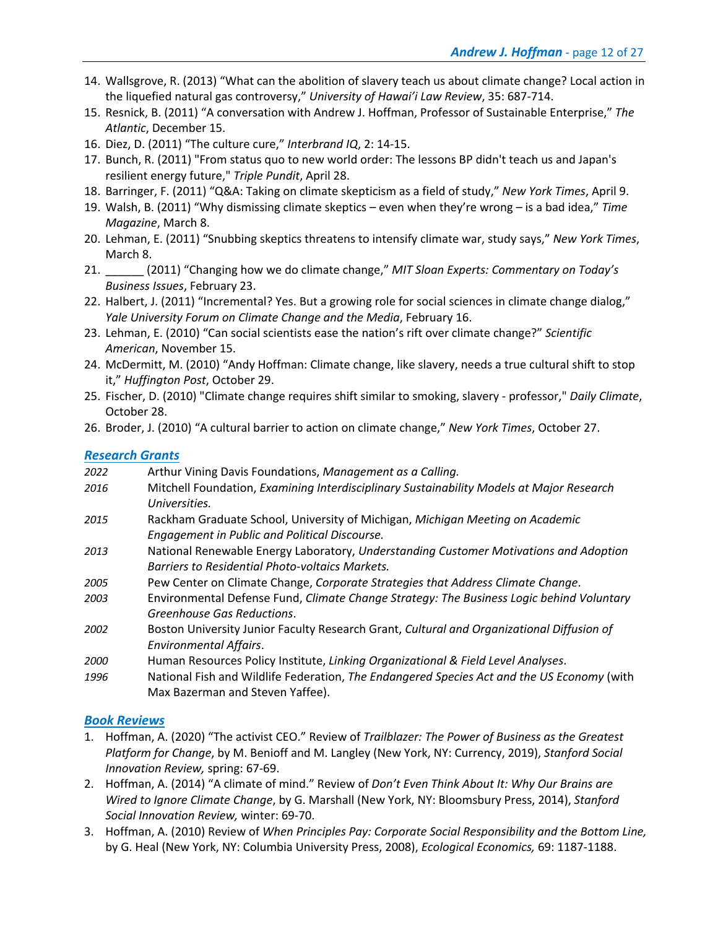- 14. Wallsgrove, R. (2013) "What can the abolition of slavery teach us about climate change? Local action in the liquefied natural gas controversy," *University of Hawai'i Law Review*, 35: 687-714.
- 15. Resnick, B. (2011) "A conversation with Andrew J. Hoffman, Professor of Sustainable Enterprise," *The Atlantic*, December 15.
- 16. Diez, D. (2011) "The culture cure," *Interbrand IQ*, 2: 14-15.
- 17. Bunch, R. (2011) "From status quo to new world order: The lessons BP didn't teach us and Japan's resilient energy future," *Triple Pundit*, April 28.
- 18. Barringer, F. (2011) "Q&A: Taking on climate skepticism as a field of study," *New York Times*, April 9.
- 19. Walsh, B. (2011) "Why dismissing climate skeptics even when they're wrong is a bad idea," *Time Magazine*, March 8.
- 20. Lehman, E. (2011) "Snubbing skeptics threatens to intensify climate war, study says," *New York Times*, March 8.
- 21. \_\_\_\_\_\_ (2011) "Changing how we do climate change," *MIT Sloan Experts: Commentary on Today's Business Issues*, February 23.
- 22. Halbert, J. (2011) "Incremental? Yes. But a growing role for social sciences in climate change dialog," *Yale University Forum on Climate Change and the Media*, February 16.
- 23. Lehman, E. (2010) "Can social scientists ease the nation's rift over climate change?" *Scientific American*, November 15.
- 24. McDermitt, M. (2010) "Andy Hoffman: Climate change, like slavery, needs a true cultural shift to stop it," *Huffington Post*, October 29.
- 25. Fischer, D. (2010) "Climate change requires shift similar to smoking, slavery professor," *Daily Climate*, October 28.
- 26. Broder, J. (2010) "A cultural barrier to action on climate change," *New York Times*, October 27.

### *Research Grants*

| 2022        | Arthur Vining Davis Foundations, Management as a Calling.                                                                                |
|-------------|------------------------------------------------------------------------------------------------------------------------------------------|
| 2016        | Mitchell Foundation, Examining Interdisciplinary Sustainability Models at Major Research                                                 |
|             | Universities.                                                                                                                            |
| 2015        | Rackham Graduate School, University of Michigan, Michigan Meeting on Academic<br>Engagement in Public and Political Discourse.           |
| 2013        | National Renewable Energy Laboratory, Understanding Customer Motivations and Adoption<br>Barriers to Residential Photo-voltaics Markets. |
| 2005        | Pew Center on Climate Change, Corporate Strategies that Address Climate Change.                                                          |
| 2003        | Environmental Defense Fund, Climate Change Strategy: The Business Logic behind Voluntary<br>Greenhouse Gas Reductions.                   |
| 2002        | Boston University Junior Faculty Research Grant, Cultural and Organizational Diffusion of<br><b>Environmental Affairs.</b>               |
| <i>2000</i> | Human Resources Policy Institute, Linking Organizational & Field Level Analyses.                                                         |
| 1996        | National Fish and Wildlife Federation, The Endangered Species Act and the US Economy (with<br>Max Bazerman and Steven Yaffee).           |

### *Book Reviews*

- 1. Hoffman, A. (2020) "The activist CEO." Review of *Trailblazer: The Power of Business as the Greatest Platform for Change*, by M. Benioff and M. Langley (New York, NY: Currency, 2019), *Stanford Social Innovation Review,* spring: 67-69.
- 2. Hoffman, A. (2014) "A climate of mind." Review of *Don't Even Think About It: Why Our Brains are Wired to Ignore Climate Change*, by G. Marshall (New York, NY: Bloomsbury Press, 2014), *Stanford Social Innovation Review,* winter: 69-70.
- 3. Hoffman, A. (2010) Review of *When Principles Pay: Corporate Social Responsibility and the Bottom Line,* by G. Heal (New York, NY: Columbia University Press, 2008), *Ecological Economics,* 69: 1187-1188.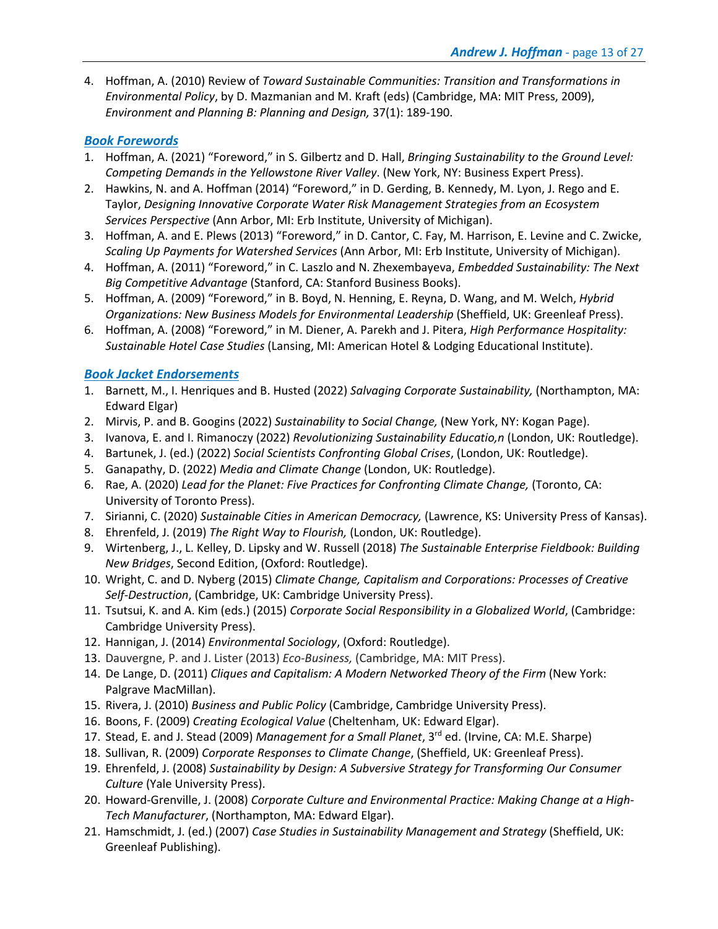4. Hoffman, A. (2010) Review of *Toward Sustainable Communities: Transition and Transformations in Environmental Policy*, by D. Mazmanian and M. Kraft (eds) (Cambridge, MA: MIT Press, 2009), *Environment and Planning B: Planning and Design,* 37(1): 189-190.

### *Book Forewords*

- 1. Hoffman, A. (2021) "Foreword," in S. Gilbertz and D. Hall, *Bringing Sustainability to the Ground Level: Competing Demands in the Yellowstone River Valley*. (New York, NY: Business Expert Press).
- 2. Hawkins, N. and A. Hoffman (2014) "Foreword," in D. Gerding, B. Kennedy, M. Lyon, J. Rego and E. Taylor, *Designing Innovative Corporate Water Risk Management Strategies from an Ecosystem Services Perspective* (Ann Arbor, MI: Erb Institute, University of Michigan).
- 3. Hoffman, A. and E. Plews (2013) "Foreword," in D. Cantor, C. Fay, M. Harrison, E. Levine and C. Zwicke, *Scaling Up Payments for Watershed Services* (Ann Arbor, MI: Erb Institute, University of Michigan).
- 4. Hoffman, A. (2011) "Foreword," in C. Laszlo and N. Zhexembayeva, *Embedded Sustainability: The Next Big Competitive Advantage* (Stanford, CA: Stanford Business Books).
- 5. Hoffman, A. (2009) "Foreword," in B. Boyd, N. Henning, E. Reyna, D. Wang, and M. Welch, *Hybrid Organizations: New Business Models for Environmental Leadership* (Sheffield, UK: Greenleaf Press).
- 6. Hoffman, A. (2008) "Foreword," in M. Diener, A. Parekh and J. Pitera, *High Performance Hospitality: Sustainable Hotel Case Studies* (Lansing, MI: American Hotel & Lodging Educational Institute).

### *Book Jacket Endorsements*

- 1. Barnett, M., I. Henriques and B. Husted (2022) *Salvaging Corporate Sustainability,* (Northampton, MA: Edward Elgar)
- 2. Mirvis, P. and B. Googins (2022) *Sustainability to Social Change,* (New York, NY: Kogan Page).
- 3. Ivanova, E. and I. Rimanoczy (2022) *Revolutionizing Sustainability Educatio,n* (London, UK: Routledge).
- 4. Bartunek, J. (ed.) (2022) *Social Scientists Confronting Global Crises*, (London, UK: Routledge).
- 5. Ganapathy, D. (2022) *Media and Climate Change* (London, UK: Routledge).
- 6. Rae, A. (2020) *Lead for the Planet: Five Practices for Confronting Climate Change,* (Toronto, CA: University of Toronto Press).
- 7. Sirianni, C. (2020) *Sustainable Cities in American Democracy,* (Lawrence, KS: University Press of Kansas).
- 8. Ehrenfeld, J. (2019) *The Right Way to Flourish,* (London, UK: Routledge).
- 9. Wirtenberg, J., L. Kelley, D. Lipsky and W. Russell (2018) *The Sustainable Enterprise Fieldbook: Building New Bridges*, Second Edition, (Oxford: Routledge).
- 10. Wright, C. and D. Nyberg (2015) *Climate Change, Capitalism and Corporations: Processes of Creative Self-Destruction*, (Cambridge, UK: Cambridge University Press).
- 11. Tsutsui, K. and A. Kim (eds.) (2015) *Corporate Social Responsibility in a Globalized World*, (Cambridge: Cambridge University Press).
- 12. Hannigan, J. (2014) *Environmental Sociology*, (Oxford: Routledge).
- 13. Dauvergne, P. and J. Lister (2013) *Eco-Business,* (Cambridge, MA: MIT Press).
- 14. De Lange, D. (2011) *Cliques and Capitalism: A Modern Networked Theory of the Firm* (New York: Palgrave MacMillan).
- 15. Rivera, J. (2010) *Business and Public Policy* (Cambridge, Cambridge University Press).
- 16. Boons, F. (2009) *Creating Ecological Value* (Cheltenham, UK: Edward Elgar).
- 17. Stead, E. and J. Stead (2009) *Management for a Small Planet*, 3rd ed. (Irvine, CA: M.E. Sharpe)
- 18. Sullivan, R. (2009) *Corporate Responses to Climate Change*, (Sheffield, UK: Greenleaf Press).
- 19. Ehrenfeld, J. (2008) *Sustainability by Design: A Subversive Strategy for Transforming Our Consumer Culture* (Yale University Press).
- 20. Howard-Grenville, J. (2008) *Corporate Culture and Environmental Practice: Making Change at a High-Tech Manufacturer*, (Northampton, MA: Edward Elgar).
- 21. Hamschmidt, J. (ed.) (2007) *Case Studies in Sustainability Management and Strategy* (Sheffield, UK: Greenleaf Publishing).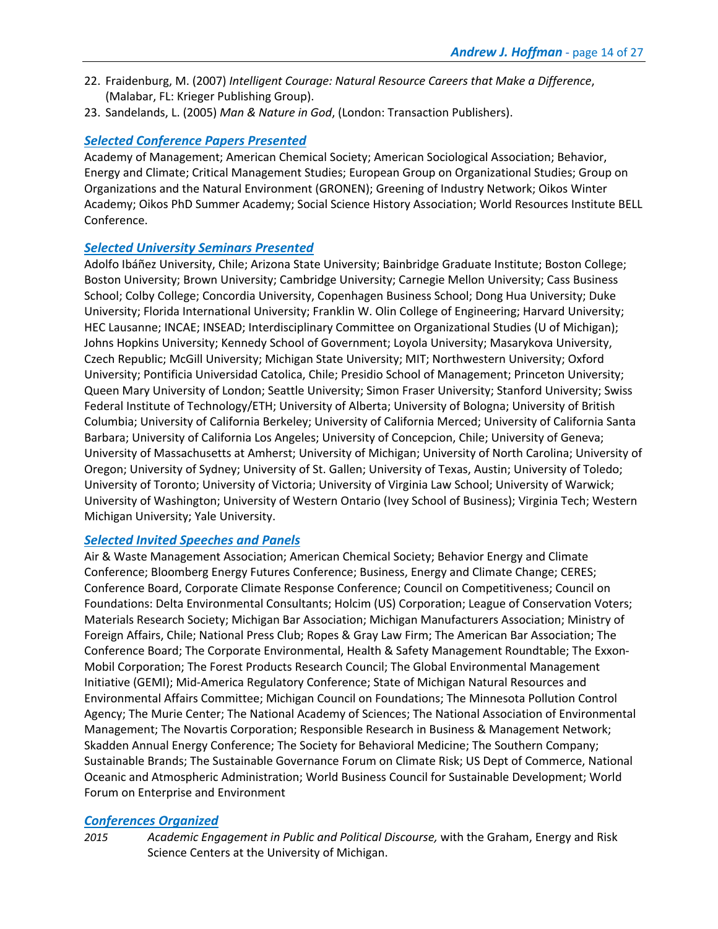- 22. Fraidenburg, M. (2007) *Intelligent Courage: Natural Resource Careers that Make a Difference*, (Malabar, FL: Krieger Publishing Group).
- 23. Sandelands, L. (2005) *Man & Nature in God*, (London: Transaction Publishers).

### *Selected Conference Papers Presented*

Academy of Management; American Chemical Society; American Sociological Association; Behavior, Energy and Climate; Critical Management Studies; European Group on Organizational Studies; Group on Organizations and the Natural Environment (GRONEN); Greening of Industry Network; Oikos Winter Academy; Oikos PhD Summer Academy; Social Science History Association; World Resources Institute BELL Conference.

### *Selected University Seminars Presented*

Adolfo Ibáñez University, Chile; Arizona State University; Bainbridge Graduate Institute; Boston College; Boston University; Brown University; Cambridge University; Carnegie Mellon University; Cass Business School; Colby College; Concordia University, Copenhagen Business School; Dong Hua University; Duke University; Florida International University; Franklin W. Olin College of Engineering; Harvard University; HEC Lausanne; INCAE; INSEAD; Interdisciplinary Committee on Organizational Studies (U of Michigan); Johns Hopkins University; Kennedy School of Government; Loyola University; Masarykova University, Czech Republic; McGill University; Michigan State University; MIT; Northwestern University; Oxford University; Pontificia Universidad Catolica, Chile; Presidio School of Management; Princeton University; Queen Mary University of London; Seattle University; Simon Fraser University; Stanford University; Swiss Federal Institute of Technology/ETH; University of Alberta; University of Bologna; University of British Columbia; University of California Berkeley; University of California Merced; University of California Santa Barbara; University of California Los Angeles; University of Concepcion, Chile; University of Geneva; University of Massachusetts at Amherst; University of Michigan; University of North Carolina; University of Oregon; University of Sydney; University of St. Gallen; University of Texas, Austin; University of Toledo; University of Toronto; University of Victoria; University of Virginia Law School; University of Warwick; University of Washington; University of Western Ontario (Ivey School of Business); Virginia Tech; Western Michigan University; Yale University.

### *Selected Invited Speeches and Panels*

Air & Waste Management Association; American Chemical Society; Behavior Energy and Climate Conference; Bloomberg Energy Futures Conference; Business, Energy and Climate Change; CERES; Conference Board, Corporate Climate Response Conference; Council on Competitiveness; Council on Foundations: Delta Environmental Consultants; Holcim (US) Corporation; League of Conservation Voters; Materials Research Society; Michigan Bar Association; Michigan Manufacturers Association; Ministry of Foreign Affairs, Chile; National Press Club; Ropes & Gray Law Firm; The American Bar Association; The Conference Board; The Corporate Environmental, Health & Safety Management Roundtable; The Exxon-Mobil Corporation; The Forest Products Research Council; The Global Environmental Management Initiative (GEMI); Mid-America Regulatory Conference; State of Michigan Natural Resources and Environmental Affairs Committee; Michigan Council on Foundations; The Minnesota Pollution Control Agency; The Murie Center; The National Academy of Sciences; The National Association of Environmental Management; The Novartis Corporation; Responsible Research in Business & Management Network; Skadden Annual Energy Conference; The Society for Behavioral Medicine; The Southern Company; Sustainable Brands; The Sustainable Governance Forum on Climate Risk; US Dept of Commerce, National Oceanic and Atmospheric Administration; World Business Council for Sustainable Development; World Forum on Enterprise and Environment

### *Conferences Organized*

*2015 Academic Engagement in Public and Political Discourse,* with the Graham, Energy and Risk Science Centers at the University of Michigan.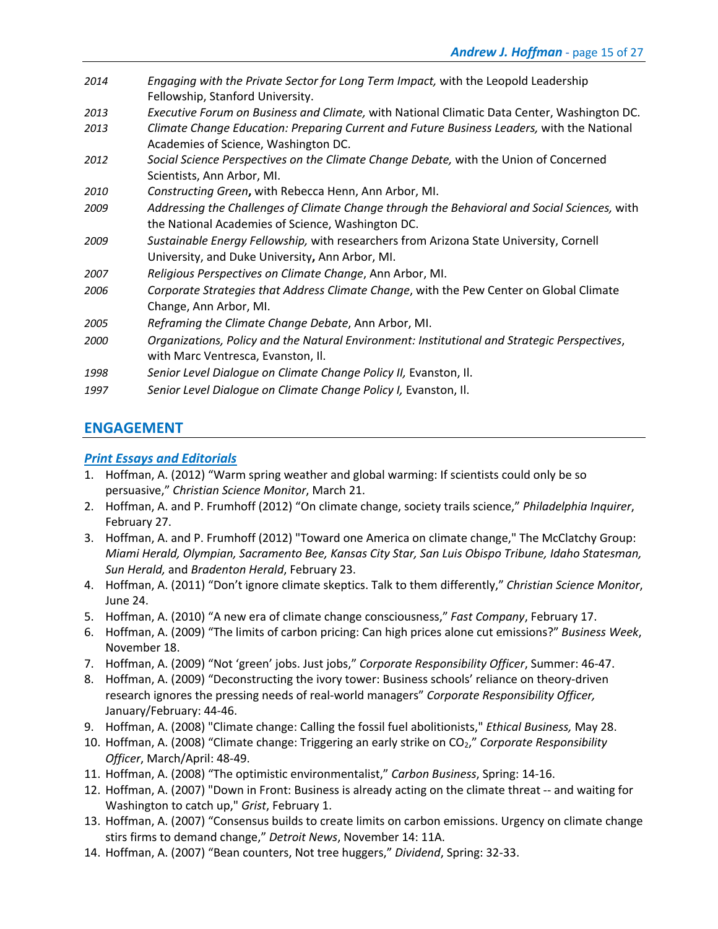- *2014 Engaging with the Private Sector for Long Term Impact,* with the Leopold Leadership Fellowship, Stanford University.
- *2013 Executive Forum on Business and Climate,* with National Climatic Data Center, Washington DC.
- *2013 Climate Change Education: Preparing Current and Future Business Leaders,* with the National Academies of Science, Washington DC.
- *2012 Social Science Perspectives on the Climate Change Debate,* with the Union of Concerned Scientists, Ann Arbor, MI.
- *2010 Constructing Green***,** with Rebecca Henn, Ann Arbor, MI.
- *2009 Addressing the Challenges of Climate Change through the Behavioral and Social Sciences,* with the National Academies of Science, Washington DC.
- *2009 Sustainable Energy Fellowship,* with researchers from Arizona State University, Cornell University, and Duke University**,** Ann Arbor, MI.
- *2007 Religious Perspectives on Climate Change*, Ann Arbor, MI.
- *2006 Corporate Strategies that Address Climate Change*, with the Pew Center on Global Climate Change, Ann Arbor, MI.
- *2005 Reframing the Climate Change Debate*, Ann Arbor, MI.
- *2000 Organizations, Policy and the Natural Environment: Institutional and Strategic Perspectives*, with Marc Ventresca, Evanston, Il.
- *1998 Senior Level Dialogue on Climate Change Policy II,* Evanston, Il.
- *1997 Senior Level Dialogue on Climate Change Policy I,* Evanston, Il.

# **ENGAGEMENT**

## *Print Essays and Editorials*

- 1. Hoffman, A. (2012) "Warm spring weather and global warming: If scientists could only be so persuasive," *Christian Science Monitor*, March 21.
- 2. Hoffman, A. and P. Frumhoff (2012) "On climate change, society trails science," *Philadelphia Inquirer*, February 27.
- 3. Hoffman, A. and P. Frumhoff (2012) "Toward one America on climate change," The McClatchy Group: *Miami Herald, Olympian, Sacramento Bee, Kansas City Star, San Luis Obispo Tribune, Idaho Statesman, Sun Herald,* and *Bradenton Herald*, February 23.
- 4. Hoffman, A. (2011) "Don't ignore climate skeptics. Talk to them differently," *Christian Science Monitor*, June 24.
- 5. Hoffman, A. (2010) "A new era of climate change consciousness," *Fast Company*, February 17.
- 6. Hoffman, A. (2009) "The limits of carbon pricing: Can high prices alone cut emissions?" *Business Week*, November 18.
- 7. Hoffman, A. (2009) "Not 'green' jobs. Just jobs," *Corporate Responsibility Officer*, Summer: 46-47.
- 8. Hoffman, A. (2009) "Deconstructing the ivory tower: Business schools' reliance on theory-driven research ignores the pressing needs of real-world managers" *Corporate Responsibility Officer,*  January/February: 44-46.
- 9. Hoffman, A. (2008) "Climate change: Calling the fossil fuel abolitionists," *Ethical Business,* May 28.
- 10. Hoffman, A. (2008) "Climate change: Triggering an early strike on CO2," *Corporate Responsibility Officer*, March/April: 48-49.
- 11. Hoffman, A. (2008) "The optimistic environmentalist," *Carbon Business*, Spring: 14-16.
- 12. Hoffman, A. (2007) "Down in Front: Business is already acting on the climate threat -- and waiting for Washington to catch up," *Grist*, February 1.
- 13. Hoffman, A. (2007) "Consensus builds to create limits on carbon emissions. Urgency on climate change stirs firms to demand change," *Detroit News*, November 14: 11A.
- 14. Hoffman, A. (2007) "Bean counters, Not tree huggers," *Dividend*, Spring: 32-33.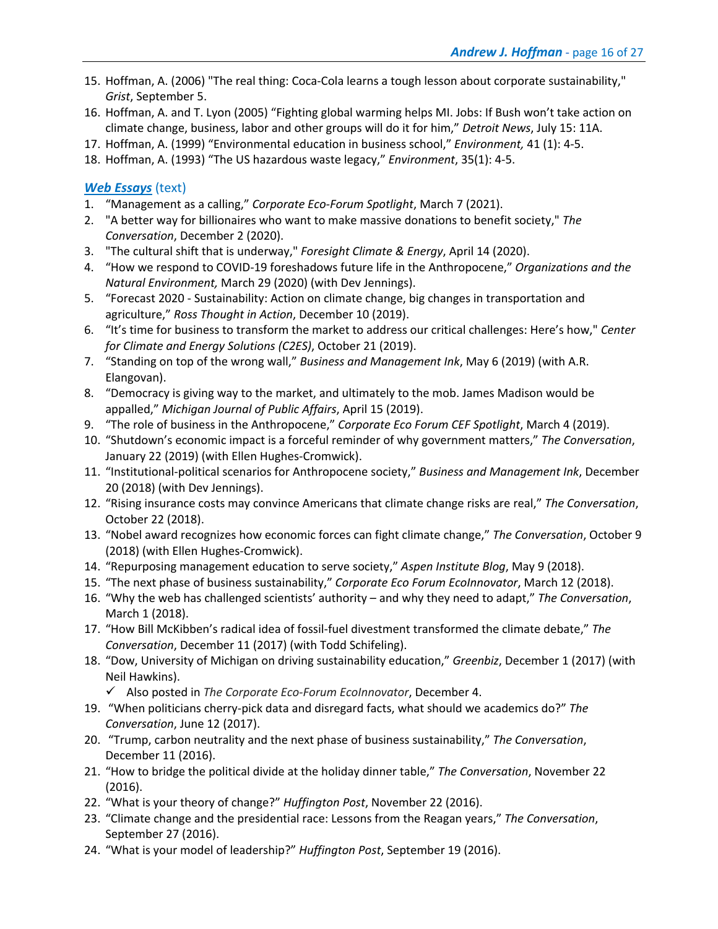- 15. Hoffman, A. (2006) "The real thing: Coca-Cola learns a tough lesson about corporate sustainability," *Grist*, September 5.
- 16. Hoffman, A. and T. Lyon (2005) "Fighting global warming helps MI. Jobs: If Bush won't take action on climate change, business, labor and other groups will do it for him," *Detroit News*, July 15: 11A.
- 17. Hoffman, A. (1999) "Environmental education in business school," *Environment,* 41 (1): 4-5.
- 18. Hoffman, A. (1993) "The US hazardous waste legacy," *Environment*, 35(1): 4-5.

# *Web Essays* (text)

- 1. "Management as a calling," *Corporate Eco-Forum Spotlight*, March 7 (2021).
- 2. "A better way for billionaires who want to make massive donations to benefit society," *The Conversation*, December 2 (2020).
- 3. "The cultural shift that is underway," *Foresight Climate & Energy*, April 14 (2020).
- 4. "How we respond to COVID-19 foreshadows future life in the Anthropocene," *Organizations and the Natural Environment,* March 29 (2020) (with Dev Jennings).
- 5. "Forecast 2020 Sustainability: Action on climate change, big changes in transportation and agriculture," *Ross Thought in Action*, December 10 (2019).
- 6. "It's time for business to transform the market to address our critical challenges: Here's how," *Center for Climate and Energy Solutions (C2ES)*, October 21 (2019).
- 7. "Standing on top of the wrong wall," *Business and Management Ink*, May 6 (2019) (with A.R. Elangovan).
- 8. "Democracy is giving way to the market, and ultimately to the mob. James Madison would be appalled," *Michigan Journal of Public Affairs*, April 15 (2019).
- 9. "The role of business in the Anthropocene," *Corporate Eco Forum CEF Spotlight*, March 4 (2019).
- 10. "Shutdown's economic impact is a forceful reminder of why government matters," *The Conversation*, January 22 (2019) (with Ellen Hughes-Cromwick).
- 11. "Institutional-political scenarios for Anthropocene society," *Business and Management Ink*, December 20 (2018) (with Dev Jennings).
- 12. "Rising insurance costs may convince Americans that climate change risks are real," *The Conversation*, October 22 (2018).
- 13. "Nobel award recognizes how economic forces can fight climate change," *The Conversation*, October 9 (2018) (with Ellen Hughes-Cromwick).
- 14. "Repurposing management education to serve society," *Aspen Institute Blog*, May 9 (2018).
- 15. "The next phase of business sustainability," *Corporate Eco Forum EcoInnovator*, March 12 (2018).
- 16. "Why the web has challenged scientists' authority and why they need to adapt," *The Conversation*, March 1 (2018).
- 17. "How Bill McKibben's radical idea of fossil-fuel divestment transformed the climate debate," *The Conversation*, December 11 (2017) (with Todd Schifeling).
- 18. "Dow, University of Michigan on driving sustainability education," *Greenbiz*, December 1 (2017) (with Neil Hawkins).

ü Also posted in *The Corporate Eco-Forum EcoInnovator*, December 4.

- 19. "When politicians cherry-pick data and disregard facts, what should we academics do?" *The Conversation*, June 12 (2017).
- 20. "Trump, carbon neutrality and the next phase of business sustainability," *The Conversation*, December 11 (2016).
- 21. "How to bridge the political divide at the holiday dinner table," *The Conversation*, November 22 (2016).
- 22. "What is your theory of change?" *Huffington Post*, November 22 (2016).
- 23. "Climate change and the presidential race: Lessons from the Reagan years," *The Conversation*, September 27 (2016).
- 24. "What is your model of leadership?" *Huffington Post*, September 19 (2016).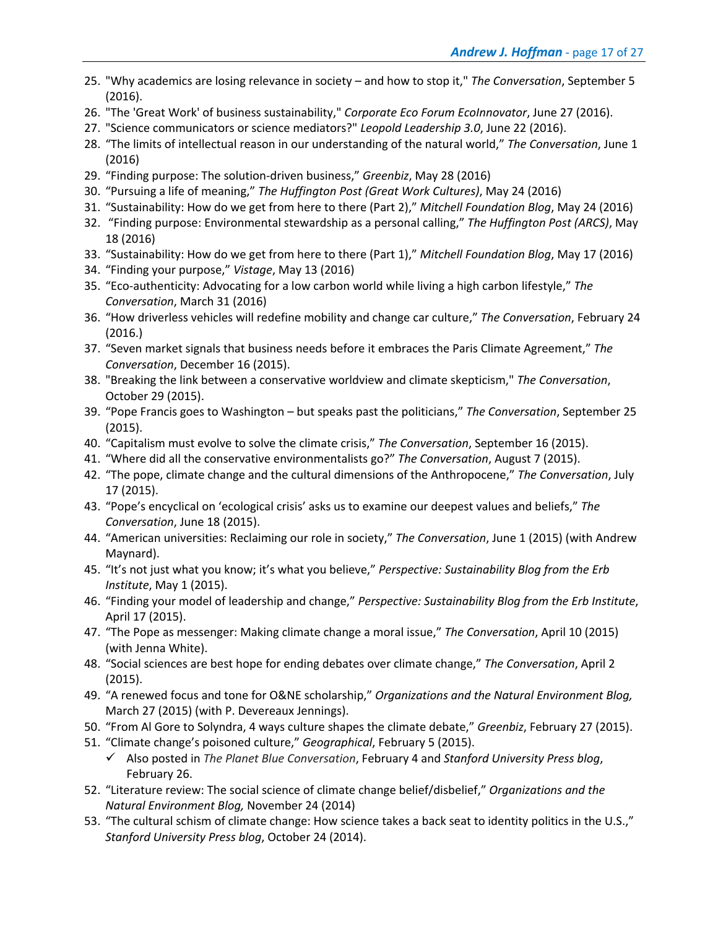- 25. "Why academics are losing relevance in society and how to stop it," *The Conversation*, September 5 (2016).
- 26. "The 'Great Work' of business sustainability," *Corporate Eco Forum EcoInnovator*, June 27 (2016).
- 27. "Science communicators or science mediators?" *Leopold Leadership 3.0*, June 22 (2016).
- 28. "The limits of intellectual reason in our understanding of the natural world," *The Conversation*, June 1 (2016)
- 29. "Finding purpose: The solution-driven business," *Greenbiz*, May 28 (2016)
- 30. "Pursuing a life of meaning," *The Huffington Post (Great Work Cultures)*, May 24 (2016)
- 31. "Sustainability: How do we get from here to there (Part 2)," *Mitchell Foundation Blog*, May 24 (2016)
- 32. "Finding purpose: Environmental stewardship as a personal calling," *The Huffington Post (ARCS)*, May 18 (2016)
- 33. "Sustainability: How do we get from here to there (Part 1)," *Mitchell Foundation Blog*, May 17 (2016)
- 34. "Finding your purpose," *Vistage*, May 13 (2016)
- 35. "Eco-authenticity: Advocating for a low carbon world while living a high carbon lifestyle," *The Conversation*, March 31 (2016)
- 36. "How driverless vehicles will redefine mobility and change car culture," *The Conversation*, February 24 (2016.)
- 37. "Seven market signals that business needs before it embraces the Paris Climate Agreement," *The Conversation*, December 16 (2015).
- 38. "Breaking the link between a conservative worldview and climate skepticism," *The Conversation*, October 29 (2015).
- 39. "Pope Francis goes to Washington but speaks past the politicians," *The Conversation*, September 25 (2015).
- 40. "Capitalism must evolve to solve the climate crisis," *The Conversation*, September 16 (2015).
- 41. "Where did all the conservative environmentalists go?" *The Conversation*, August 7 (2015).
- 42. "The pope, climate change and the cultural dimensions of the Anthropocene," *The Conversation*, July 17 (2015).
- 43. "Pope's encyclical on 'ecological crisis' asks us to examine our deepest values and beliefs," *The Conversation*, June 18 (2015).
- 44. "American universities: Reclaiming our role in society," *The Conversation*, June 1 (2015) (with Andrew Maynard).
- 45. "It's not just what you know; it's what you believe," *Perspective: Sustainability Blog from the Erb Institute*, May 1 (2015).
- 46. "Finding your model of leadership and change," *Perspective: Sustainability Blog from the Erb Institute*, April 17 (2015).
- 47. "The Pope as messenger: Making climate change a moral issue," *The Conversation*, April 10 (2015) (with Jenna White).
- 48. "Social sciences are best hope for ending debates over climate change," *The Conversation*, April 2 (2015).
- 49. "A renewed focus and tone for O&NE scholarship," *Organizations and the Natural Environment Blog,* March 27 (2015) (with P. Devereaux Jennings).
- 50. "From Al Gore to Solyndra, 4 ways culture shapes the climate debate," *Greenbiz*, February 27 (2015).
- 51. "Climate change's poisoned culture," *Geographical*, February 5 (2015).
	- ü Also posted in *The Planet Blue Conversation*, February 4 and *Stanford University Press blog*, February 26.
- 52. "Literature review: The social science of climate change belief/disbelief," *Organizations and the Natural Environment Blog,* November 24 (2014)
- 53. "The cultural schism of climate change: How science takes a back seat to identity politics in the U.S.," *Stanford University Press blog*, October 24 (2014).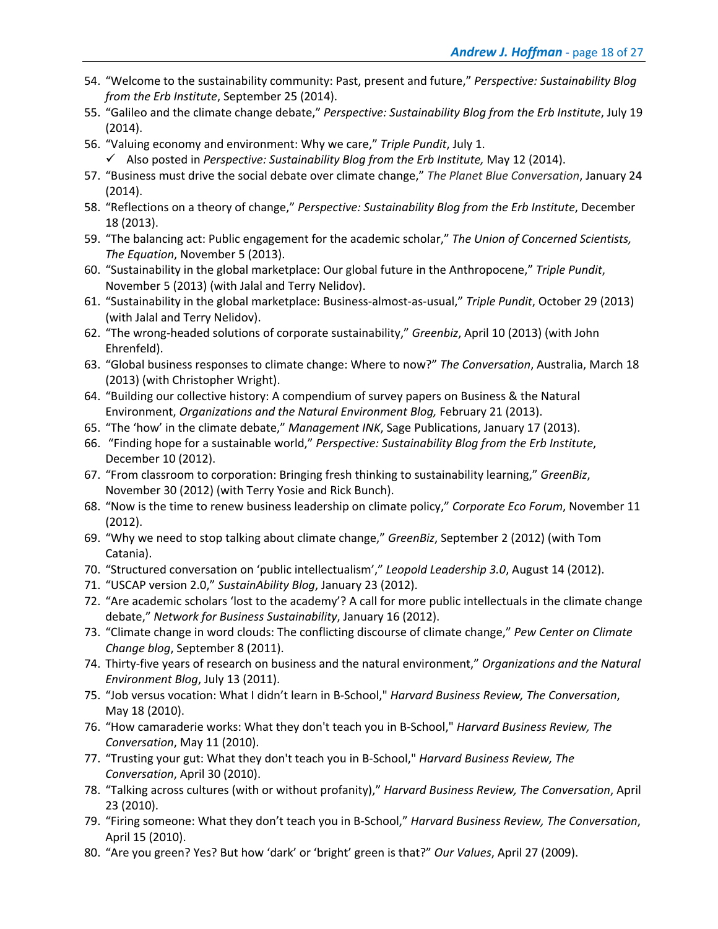- 54. "Welcome to the sustainability community: Past, present and future," *Perspective: Sustainability Blog from the Erb Institute*, September 25 (2014).
- 55. "Galileo and the climate change debate," *Perspective: Sustainability Blog from the Erb Institute*, July 19 (2014).
- 56. "Valuing economy and environment: Why we care," *Triple Pundit*, July 1.
	- ü Also posted in *Perspective: Sustainability Blog from the Erb Institute,* May 12 (2014).
- 57. "Business must drive the social debate over climate change," *The Planet Blue Conversation*, January 24 (2014).
- 58. "Reflections on a theory of change," *Perspective: Sustainability Blog from the Erb Institute*, December 18 (2013).
- 59. "The balancing act: Public engagement for the academic scholar," *The Union of Concerned Scientists, The Equation*, November 5 (2013).
- 60. "Sustainability in the global marketplace: Our global future in the Anthropocene," *Triple Pundit*, November 5 (2013) (with Jalal and Terry Nelidov).
- 61. "Sustainability in the global marketplace: Business-almost-as-usual," *Triple Pundit*, October 29 (2013) (with Jalal and Terry Nelidov).
- 62. "The wrong-headed solutions of corporate sustainability," *Greenbiz*, April 10 (2013) (with John Ehrenfeld).
- 63. "Global business responses to climate change: Where to now?" *The Conversation*, Australia, March 18 (2013) (with Christopher Wright).
- 64. "Building our collective history: A compendium of survey papers on Business & the Natural Environment, *Organizations and the Natural Environment Blog,* February 21 (2013).
- 65. "The 'how' in the climate debate," *Management INK*, Sage Publications, January 17 (2013).
- 66. "Finding hope for a sustainable world," *Perspective: Sustainability Blog from the Erb Institute*, December 10 (2012).
- 67. "From classroom to corporation: Bringing fresh thinking to sustainability learning," *GreenBiz*, November 30 (2012) (with Terry Yosie and Rick Bunch).
- 68. "Now is the time to renew business leadership on climate policy," *Corporate Eco Forum*, November 11 (2012).
- 69. "Why we need to stop talking about climate change," *GreenBiz*, September 2 (2012) (with Tom Catania).
- 70. "Structured conversation on 'public intellectualism'," *Leopold Leadership 3.0*, August 14 (2012).
- 71. "USCAP version 2.0," *SustainAbility Blog*, January 23 (2012).
- 72. "Are academic scholars 'lost to the academy'? A call for more public intellectuals in the climate change debate," *Network for Business Sustainability*, January 16 (2012).
- 73. "Climate change in word clouds: The conflicting discourse of climate change," *Pew Center on Climate Change blog*, September 8 (2011).
- 74. Thirty-five years of research on business and the natural environment," *Organizations and the Natural Environment Blog*, July 13 (2011).
- 75. "Job versus vocation: What I didn't learn in B-School," *Harvard Business Review, The Conversation*, May 18 (2010).
- 76. "How camaraderie works: What they don't teach you in B-School," *Harvard Business Review, The Conversation*, May 11 (2010).
- 77. "Trusting your gut: What they don't teach you in B-School," *Harvard Business Review, The Conversation*, April 30 (2010).
- 78. "Talking across cultures (with or without profanity)," *Harvard Business Review, The Conversation*, April 23 (2010).
- 79. "Firing someone: What they don't teach you in B-School," *Harvard Business Review, The Conversation*, April 15 (2010).
- 80. "Are you green? Yes? But how 'dark' or 'bright' green is that?" *Our Values*, April 27 (2009).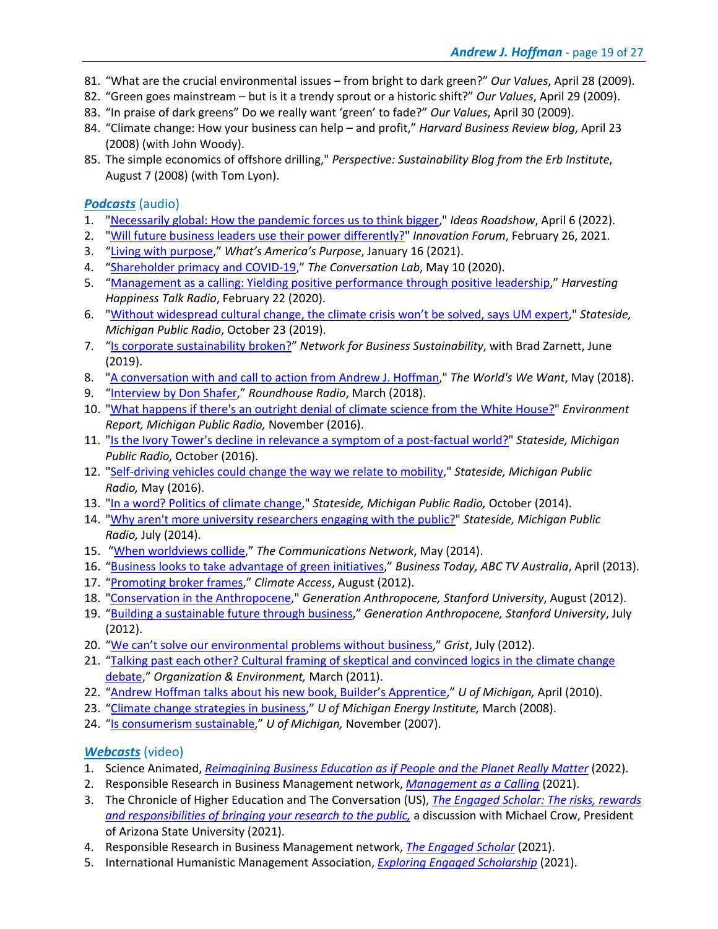- 81. "What are the crucial environmental issues from bright to dark green?" *Our Values*, April 28 (2009).
- 82. "Green goes mainstream but is it a trendy sprout or a historic shift?" *Our Values*, April 29 (2009).
- 83. "In praise of dark greens" Do we really want 'green' to fade?" *Our Values*, April 30 (2009).
- 84. "Climate change: How your business can help and profit," *Harvard Business Review blog*, April 23 (2008) (with John Woody).
- 85. The simple economics of offshore drilling," *Perspective: Sustainability Blog from the Erb Institute*, August 7 (2008) (with Tom Lyon).

### *Podcasts* (audio)

- 1. "Necessarily global: How the pandemic forces us to think bigger," *Ideas Roadshow*, April 6 (2022).
- 2. "Will future business leaders use their power differently?" *Innovation Forum*, February 26, 2021.
- 3. "Living with purpose," *What's America's Purpose*, January 16 (2021).
- 4. "Shareholder primacy and COVID-19," *The Conversation Lab*, May 10 (2020).
- 5. "Management as a calling: Yielding positive performance through positive leadership," *Harvesting Happiness Talk Radio*, February 22 (2020).
- 6. "Without widespread cultural change, the climate crisis won't be solved, says UM expert," *Stateside, Michigan Public Radio*, October 23 (2019).
- 7. "Is corporate sustainability broken?" *Network for Business Sustainability*, with Brad Zarnett, June (2019).
- 8. "A conversation with and call to action from Andrew J. Hoffman," *The World's We Want*, May (2018).
- 9. "Interview by Don Shafer," *Roundhouse Radio*, March (2018).
- 10. "What happens if there's an outright denial of climate science from the White House?" *Environment Report, Michigan Public Radio,* November (2016).
- 11. "Is the Ivory Tower's decline in relevance a symptom of a post-factual world?" *Stateside, Michigan Public Radio,* October (2016).
- 12. "Self-driving vehicles could change the way we relate to mobility," *Stateside, Michigan Public Radio,* May (2016).
- 13. "In a word? Politics of climate change," *Stateside, Michigan Public Radio,* October (2014).
- 14. "Why aren't more university researchers engaging with the public?" *Stateside, Michigan Public Radio,* July (2014).
- 15. "When worldviews collide," *The Communications Network*, May (2014).
- 16. "Business looks to take advantage of green initiatives," *Business Today, ABC TV Australia*, April (2013).
- 17. "Promoting broker frames," *Climate Access*, August (2012).
- 18. "Conservation in the Anthropocene," *Generation Anthropocene, Stanford University*, August (2012).
- 19. "Building a sustainable future through business," *Generation Anthropocene, Stanford University*, July (2012).
- 20. "We can't solve our environmental problems without business," *Grist*, July (2012).
- 21. "Talking past each other? Cultural framing of skeptical and convinced logics in the climate change debate," *Organization & Environment,* March (2011).
- 22. "Andrew Hoffman talks about his new book, Builder's Apprentice," *U of Michigan,* April (2010).
- 23. "Climate change strategies in business," *U of Michigan Energy Institute,* March (2008).
- 24. "Is consumerism sustainable," *U of Michigan,* November (2007).

### *Webcasts* (video)

- 1. Science Animated, *Reimagining Business Education as if People and the Planet Really Matter* (2022).
- 2. Responsible Research in Business Management network, *Management as a Calling* (2021).
- 3. The Chronicle of Higher Education and The Conversation (US), *The Engaged Scholar: The risks, rewards and responsibilities of bringing your research to the public,* a discussion with Michael Crow, President of Arizona State University (2021).
- 4. Responsible Research in Business Management network, *The Engaged Scholar* (2021).
- 5. International Humanistic Management Association, *Exploring Engaged Scholarship* (2021).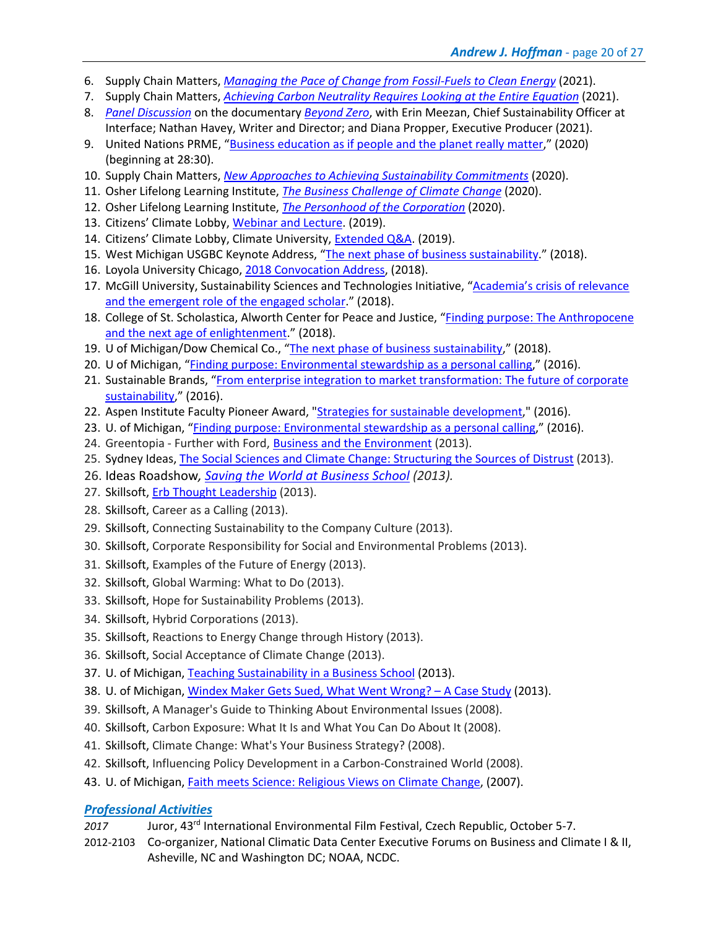- 6. Supply Chain Matters, *Managing the Pace of Change from Fossil-Fuels to Clean Energy* (2021).
- 7. Supply Chain Matters, *Achieving Carbon Neutrality Requires Looking at the Entire Equation* (2021).
- 8. *Panel Discussion* on the documentary *Beyond Zero*, with Erin Meezan, Chief Sustainability Officer at Interface; Nathan Havey, Writer and Director; and Diana Propper, Executive Producer (2021).
- 9. United Nations PRME, "Business education as if people and the planet really matter," (2020) (beginning at 28:30).
- 10. Supply Chain Matters, *New Approaches to Achieving Sustainability Commitments* (2020).
- 11. Osher Lifelong Learning Institute, *The Business Challenge of Climate Change* (2020).
- 12. Osher Lifelong Learning Institute, *The Personhood of the Corporation* (2020).
- 13. Citizens' Climate Lobby, Webinar and Lecture. (2019).
- 14. Citizens' Climate Lobby, Climate University, **Extended Q&A.** (2019).
- 15. West Michigan USGBC Keynote Address, "The next phase of business sustainability." (2018).
- 16. Loyola University Chicago, 2018 Convocation Address, (2018).
- 17. McGill University, Sustainability Sciences and Technologies Initiative, "Academia's crisis of relevance and the emergent role of the engaged scholar." (2018).
- 18. College of St. Scholastica, Alworth Center for Peace and Justice, "Finding purpose: The Anthropocene and the next age of enlightenment." (2018).
- 19. U of Michigan/Dow Chemical Co., "The next phase of business sustainability," (2018).
- 20. U of Michigan, "Finding purpose: Environmental stewardship as a personal calling," (2016).
- 21. Sustainable Brands, "From enterprise integration to market transformation: The future of corporate sustainability," (2016).
- 22. Aspen Institute Faculty Pioneer Award, "Strategies for sustainable development," (2016).
- 23. U. of Michigan, "Finding purpose: Environmental stewardship as a personal calling," (2016).
- 24. Greentopia Further with Ford, Business and the Environment (2013).
- 25. Sydney Ideas, The Social Sciences and Climate Change: Structuring the Sources of Distrust (2013).
- 26. Ideas Roadshow*, Saving the World at Business School (2013).*
- 27. Skillsoft, Erb Thought Leadership (2013).
- 28. Skillsoft, Career as a Calling (2013).
- 29. Skillsoft, Connecting Sustainability to the Company Culture (2013).
- 30. Skillsoft, Corporate Responsibility for Social and Environmental Problems (2013).
- 31. Skillsoft, Examples of the Future of Energy (2013).
- 32. Skillsoft, Global Warming: What to Do (2013).
- 33. Skillsoft, Hope for Sustainability Problems (2013).
- 34. Skillsoft, Hybrid Corporations (2013).
- 35. Skillsoft, Reactions to Energy Change through History (2013).
- 36. Skillsoft, Social Acceptance of Climate Change (2013).
- 37. U. of Michigan, Teaching Sustainability in a Business School (2013).
- 38. U. of Michigan, Windex Maker Gets Sued, What Went Wrong? A Case Study (2013).
- 39. Skillsoft, A Manager's Guide to Thinking About Environmental Issues (2008).
- 40. Skillsoft, Carbon Exposure: What It Is and What You Can Do About It (2008).
- 41. Skillsoft, Climate Change: What's Your Business Strategy? (2008).
- 42. Skillsoft, Influencing Policy Development in a Carbon-Constrained World (2008).
- 43. U. of Michigan, Faith meets Science: Religious Views on Climate Change, (2007).

### *Professional Activities*

- *2017* Juror, 43rd International Environmental Film Festival, Czech Republic, October 5-7.
- 2012-2103 Co-organizer, National Climatic Data Center Executive Forums on Business and Climate I & II, Asheville, NC and Washington DC; NOAA, NCDC.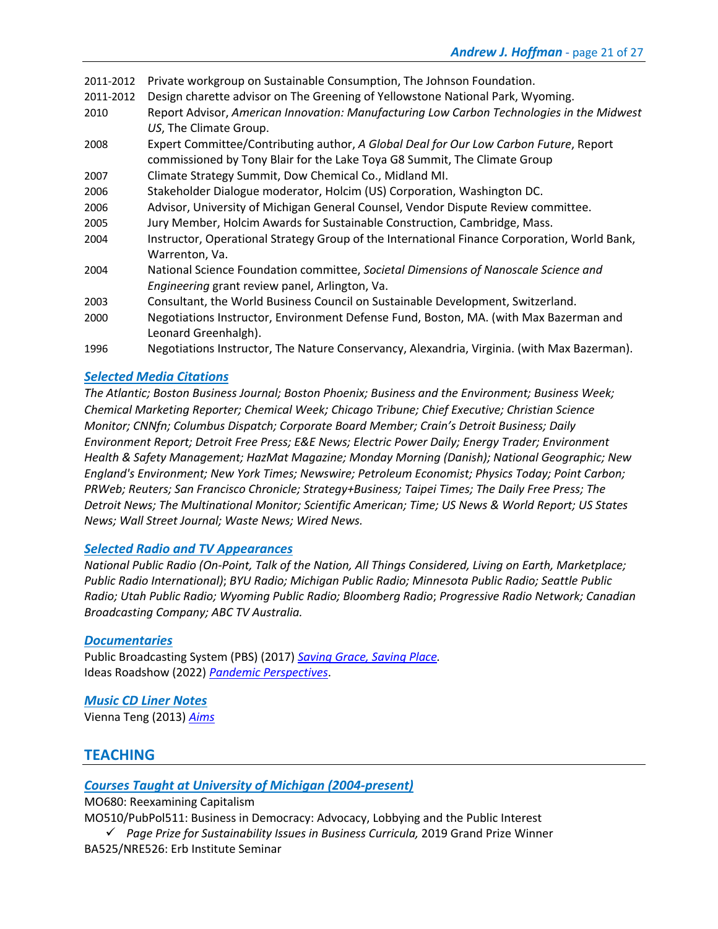2011-2012 Private workgroup on Sustainable Consumption, The Johnson Foundation.

- 2011-2012 Design charette advisor on The Greening of Yellowstone National Park, Wyoming.
- 2010 Report Advisor, *American Innovation: Manufacturing Low Carbon Technologies in the Midwest US*, The Climate Group.
- 2008 Expert Committee/Contributing author, *A Global Deal for Our Low Carbon Future*, Report commissioned by Tony Blair for the Lake Toya G8 Summit, The Climate Group
- 2007 Climate Strategy Summit, Dow Chemical Co., Midland MI.
- 2006 Stakeholder Dialogue moderator, Holcim (US) Corporation, Washington DC.
- 2006 Advisor, University of Michigan General Counsel, Vendor Dispute Review committee.
- 2005 Jury Member, Holcim Awards for Sustainable Construction, Cambridge, Mass.
- 2004 Instructor, Operational Strategy Group of the International Finance Corporation, World Bank, Warrenton, Va.
- 2004 National Science Foundation committee, *Societal Dimensions of Nanoscale Science and Engineering* grant review panel, Arlington, Va.
- 2003 Consultant, the World Business Council on Sustainable Development, Switzerland.
- 2000 Negotiations Instructor, Environment Defense Fund, Boston, MA. (with Max Bazerman and Leonard Greenhalgh).
- 1996 Negotiations Instructor, The Nature Conservancy, Alexandria, Virginia. (with Max Bazerman).

### *Selected Media Citations*

*The Atlantic; Boston Business Journal; Boston Phoenix; Business and the Environment; Business Week; Chemical Marketing Reporter; Chemical Week; Chicago Tribune; Chief Executive; Christian Science Monitor; CNNfn; Columbus Dispatch; Corporate Board Member; Crain's Detroit Business; Daily Environment Report; Detroit Free Press; E&E News; Electric Power Daily; Energy Trader; Environment Health & Safety Management; HazMat Magazine; Monday Morning (Danish); National Geographic; New England's Environment; New York Times; Newswire; Petroleum Economist; Physics Today; Point Carbon; PRWeb; Reuters; San Francisco Chronicle; Strategy+Business; Taipei Times; The Daily Free Press; The Detroit News; The Multinational Monitor; Scientific American; Time; US News & World Report; US States News; Wall Street Journal; Waste News; Wired News.*

#### *Selected Radio and TV Appearances*

*National Public Radio (On-Point, Talk of the Nation, All Things Considered, Living on Earth, Marketplace; Public Radio International)*; *BYU Radio; Michigan Public Radio; Minnesota Public Radio; Seattle Public Radio; Utah Public Radio; Wyoming Public Radio; Bloomberg Radio*; *Progressive Radio Network; Canadian Broadcasting Company; ABC TV Australia.*

#### *Documentaries*

Public Broadcasting System (PBS) (2017) *Saving Grace, Saving Place.* Ideas Roadshow (2022) *Pandemic Perspectives*.

*Music CD Liner Notes* Vienna Teng (2013) *Aims*

# **TEACHING**

### *Courses Taught at University of Michigan (2004-present)*

MO680: Reexamining Capitalism

MO510/PubPol511: Business in Democracy: Advocacy, Lobbying and the Public Interest

ü *Page Prize for Sustainability Issues in Business Curricula,* 2019 Grand Prize Winner BA525/NRE526: Erb Institute Seminar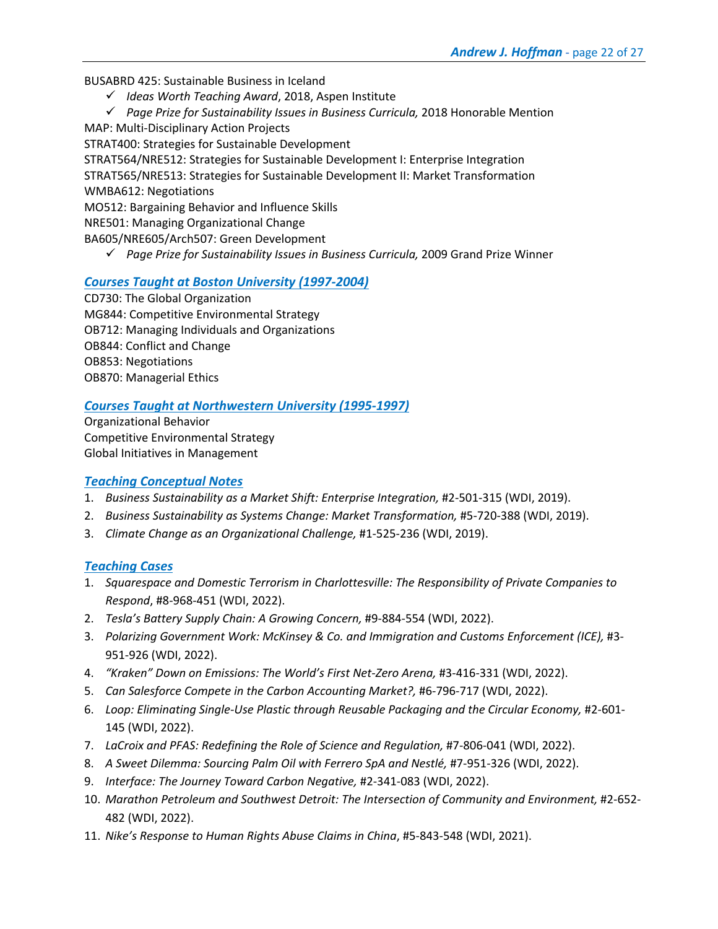BUSABRD 425: Sustainable Business in Iceland

- ü *Ideas Worth Teaching Award*, 2018, Aspen Institute
- ü *Page Prize for Sustainability Issues in Business Curricula,* 2018 Honorable Mention
- MAP: Multi-Disciplinary Action Projects STRAT400: Strategies for Sustainable Development

STRAT564/NRE512: Strategies for Sustainable Development I: Enterprise Integration STRAT565/NRE513: Strategies for Sustainable Development II: Market Transformation

WMBA612: Negotiations

MO512: Bargaining Behavior and Influence Skills

NRE501: Managing Organizational Change

BA605/NRE605/Arch507: Green Development

ü *Page Prize for Sustainability Issues in Business Curricula,* 2009 Grand Prize Winner

### *Courses Taught at Boston University (1997-2004)*

CD730: The Global Organization MG844: Competitive Environmental Strategy OB712: Managing Individuals and Organizations OB844: Conflict and Change OB853: Negotiations OB870: Managerial Ethics

### *Courses Taught at Northwestern University (1995-1997)*

Organizational Behavior Competitive Environmental Strategy Global Initiatives in Management

### *Teaching Conceptual Notes*

- 1. *Business Sustainability as a Market Shift: Enterprise Integration,* #2-501-315 (WDI, 2019).
- 2. *Business Sustainability as Systems Change: Market Transformation,* #5-720-388 (WDI, 2019).
- 3. *Climate Change as an Organizational Challenge,* #1-525-236 (WDI, 2019).

### *Teaching Cases*

- 1. *Squarespace and Domestic Terrorism in Charlottesville: The Responsibility of Private Companies to Respond*, #8-968-451 (WDI, 2022).
- 2. *Tesla's Battery Supply Chain: A Growing Concern,* #9-884-554 (WDI, 2022).
- 3. *Polarizing Government Work: McKinsey & Co. and Immigration and Customs Enforcement (ICE),* #3- 951-926 (WDI, 2022).
- 4. *"Kraken" Down on Emissions: The World's First Net-Zero Arena,* #3-416-331 (WDI, 2022).
- 5. *Can Salesforce Compete in the Carbon Accounting Market?,* #6-796-717 (WDI, 2022).
- 6. Loop: Eliminating Single-Use Plastic through Reusable Packaging and the Circular Economy, #2-601-145 (WDI, 2022).
- 7. LaCroix and PFAS: Redefining the Role of Science and Regulation, #7-806-041 (WDI, 2022).
- 8. *A Sweet Dilemma: Sourcing Palm Oil with Ferrero SpA and Nestlé,* #7-951-326 (WDI, 2022).
- 9. *Interface: The Journey Toward Carbon Negative,* #2-341-083 (WDI, 2022).
- 10. Marathon Petroleum and Southwest Detroit: The Intersection of Community and Environment, #2-652-482 (WDI, 2022).
- 11. *Nike's Response to Human Rights Abuse Claims in China*, #5-843-548 (WDI, 2021).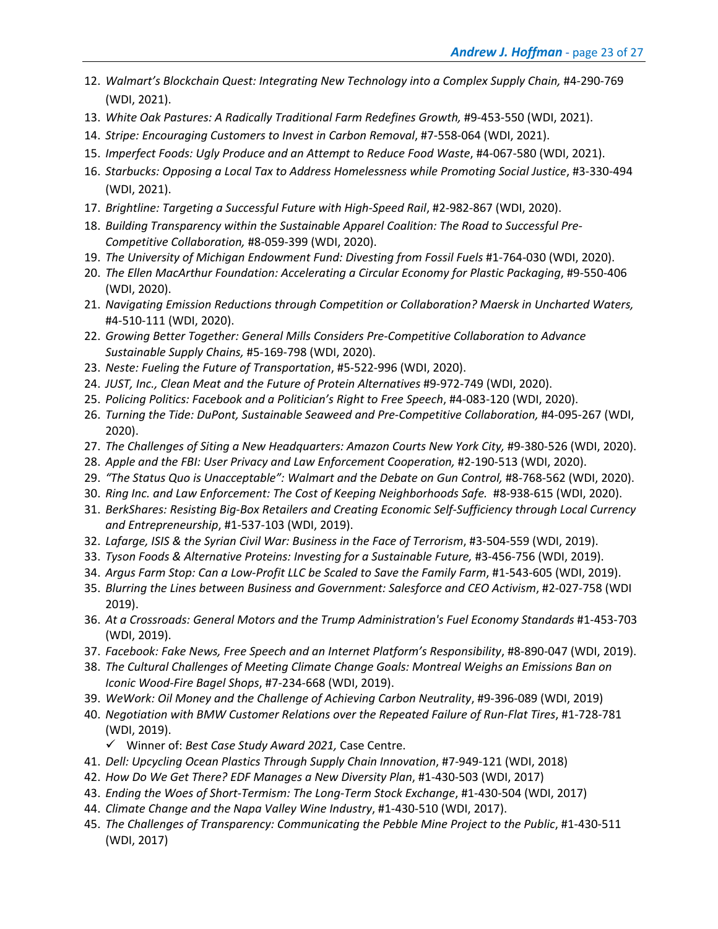- 12. *Walmart's Blockchain Quest: Integrating New Technology into a Complex Supply Chain,* #4-290-769 (WDI, 2021).
- 13. *White Oak Pastures: A Radically Traditional Farm Redefines Growth,* #9-453-550 (WDI, 2021).
- 14. *Stripe: Encouraging Customers to Invest in Carbon Removal*, #7-558-064 (WDI, 2021).
- 15. *Imperfect Foods: Ugly Produce and an Attempt to Reduce Food Waste*, #4-067-580 (WDI, 2021).
- 16. *Starbucks: Opposing a Local Tax to Address Homelessness while Promoting Social Justice*, #3-330-494 (WDI, 2021).
- 17. *Brightline: Targeting a Successful Future with High-Speed Rail*, #2-982-867 (WDI, 2020).
- 18. *Building Transparency within the Sustainable Apparel Coalition: The Road to Successful Pre-Competitive Collaboration,* #8-059-399 (WDI, 2020).
- 19. *The University of Michigan Endowment Fund: Divesting from Fossil Fuels* #1-764-030 (WDI, 2020).
- 20. *The Ellen MacArthur Foundation: Accelerating a Circular Economy for Plastic Packaging*, #9-550-406 (WDI, 2020).
- 21. *Navigating Emission Reductions through Competition or Collaboration? Maersk in Uncharted Waters,*  #4-510-111 (WDI, 2020).
- 22. *Growing Better Together: General Mills Considers Pre-Competitive Collaboration to Advance Sustainable Supply Chains,* #5-169-798 (WDI, 2020).
- 23. *Neste: Fueling the Future of Transportation*, #5-522-996 (WDI, 2020).
- 24. *JUST, Inc., Clean Meat and the Future of Protein Alternatives* #9-972-749 (WDI, 2020).
- 25. *Policing Politics: Facebook and a Politician's Right to Free Speech*, #4-083-120 (WDI, 2020).
- 26. *Turning the Tide: DuPont, Sustainable Seaweed and Pre-Competitive Collaboration, #4-095-267* (WDI, 2020).
- 27. The Challenges of Siting a New Headquarters: Amazon Courts New York City, #9-380-526 (WDI, 2020).
- 28. *Apple and the FBI: User Privacy and Law Enforcement Cooperation,* #2-190-513 (WDI, 2020).
- 29. *"The Status Quo is Unacceptable": Walmart and the Debate on Gun Control,* #8-768-562 (WDI, 2020).
- 30. *Ring Inc. and Law Enforcement: The Cost of Keeping Neighborhoods Safe.* #8-938-615 (WDI, 2020).
- 31. *BerkShares: Resisting Big-Box Retailers and Creating Economic Self-Sufficiency through Local Currency and Entrepreneurship*, #1-537-103 (WDI, 2019).
- 32. *Lafarge, ISIS & the Syrian Civil War: Business in the Face of Terrorism*, #3-504-559 (WDI, 2019).
- 33. *Tyson Foods & Alternative Proteins: Investing for a Sustainable Future,* #3-456-756 (WDI, 2019).
- 34. *Argus Farm Stop: Can a Low-Profit LLC be Scaled to Save the Family Farm*, #1-543-605 (WDI, 2019).
- 35. *Blurring the Lines between Business and Government: Salesforce and CEO Activism*, #2-027-758 (WDI 2019).
- 36. *At a Crossroads: General Motors and the Trump Administration's Fuel Economy Standards* #1-453-703 (WDI, 2019).
- 37. *Facebook: Fake News, Free Speech and an Internet Platform's Responsibility*, #8-890-047 (WDI, 2019).
- 38. *The Cultural Challenges of Meeting Climate Change Goals: Montreal Weighs an Emissions Ban on Iconic Wood-Fire Bagel Shops*, #7-234-668 (WDI, 2019).
- 39. *WeWork: Oil Money and the Challenge of Achieving Carbon Neutrality*, #9-396-089 (WDI, 2019)
- 40. *Negotiation with BMW Customer Relations over the Repeated Failure of Run-Flat Tires*, #1-728-781 (WDI, 2019).
	- ü Winner of: *Best Case Study Award 2021,* Case Centre.
- 41. *Dell: Upcycling Ocean Plastics Through Supply Chain Innovation*, #7-949-121 (WDI, 2018)
- 42. *How Do We Get There? EDF Manages a New Diversity Plan*, #1-430-503 (WDI, 2017)
- 43. *Ending the Woes of Short-Termism: The Long-Term Stock Exchange*, #1-430-504 (WDI, 2017)
- 44. *Climate Change and the Napa Valley Wine Industry*, #1-430-510 (WDI, 2017).
- 45. *The Challenges of Transparency: Communicating the Pebble Mine Project to the Public*, #1-430-511 (WDI, 2017)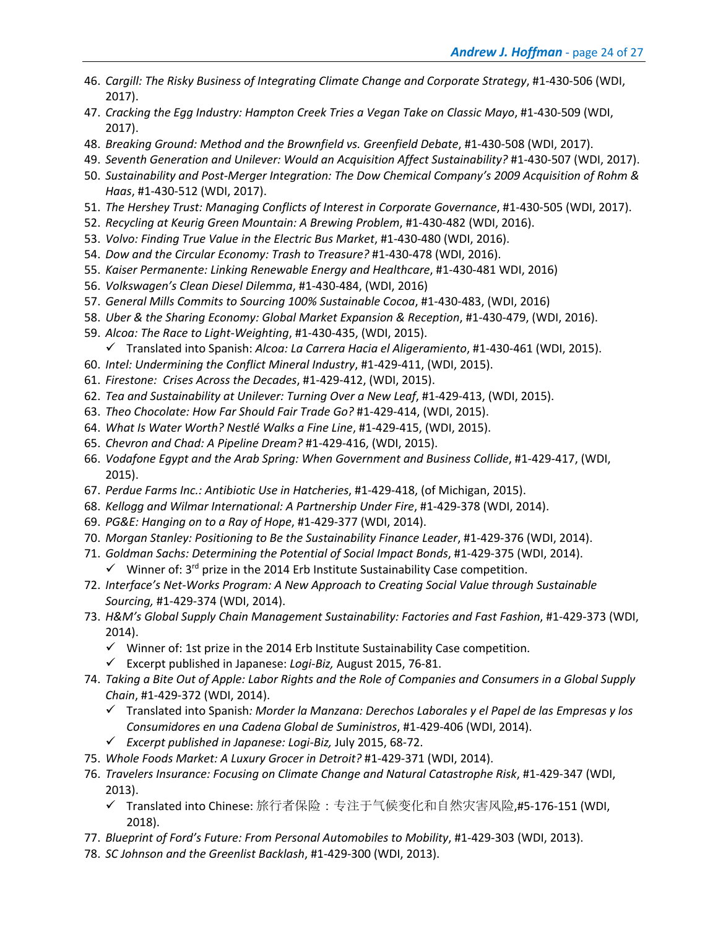- 46. *Cargill: The Risky Business of Integrating Climate Change and Corporate Strategy*, #1-430-506 (WDI, 2017).
- 47. *Cracking the Egg Industry: Hampton Creek Tries a Vegan Take on Classic Mayo*, #1-430-509 (WDI, 2017).
- 48. *Breaking Ground: Method and the Brownfield vs. Greenfield Debate*, #1-430-508 (WDI, 2017).
- 49. *Seventh Generation and Unilever: Would an Acquisition Affect Sustainability?* #1-430-507 (WDI, 2017).
- 50. *Sustainability and Post-Merger Integration: The Dow Chemical Company's 2009 Acquisition of Rohm & Haas*, #1-430-512 (WDI, 2017).
- 51. *The Hershey Trust: Managing Conflicts of Interest in Corporate Governance*, #1-430-505 (WDI, 2017).
- 52. *Recycling at Keurig Green Mountain: A Brewing Problem*, #1-430-482 (WDI, 2016).
- 53. *Volvo: Finding True Value in the Electric Bus Market*, #1-430-480 (WDI, 2016).
- 54. *Dow and the Circular Economy: Trash to Treasure?* #1-430-478 (WDI, 2016).
- 55. *Kaiser Permanente: Linking Renewable Energy and Healthcare*, #1-430-481 WDI, 2016)
- 56. *Volkswagen's Clean Diesel Dilemma*, #1-430-484, (WDI, 2016)
- 57. *General Mills Commits to Sourcing 100% Sustainable Cocoa*, #1-430-483, (WDI, 2016)
- 58. *Uber & the Sharing Economy: Global Market Expansion & Reception*, #1-430-479, (WDI, 2016).
- 59. *Alcoa: The Race to Light-Weighting*, #1-430-435, (WDI, 2015).
	- ü Translated into Spanish: *Alcoa: La Carrera Hacia el Aligeramiento*, #1-430-461 (WDI, 2015).
- 60. *Intel: Undermining the Conflict Mineral Industry*, #1-429-411, (WDI, 2015).
- 61. *Firestone: Crises Across the Decades*, #1-429-412, (WDI, 2015).
- 62. *Tea and Sustainability at Unilever: Turning Over a New Leaf*, #1-429-413, (WDI, 2015).
- 63. *Theo Chocolate: How Far Should Fair Trade Go?* #1-429-414, (WDI, 2015).
- 64. *What Is Water Worth? Nestlé Walks a Fine Line*, #1-429-415, (WDI, 2015).
- 65. *Chevron and Chad: A Pipeline Dream?* #1-429-416, (WDI, 2015).
- 66. *Vodafone Egypt and the Arab Spring: When Government and Business Collide*, #1-429-417, (WDI, 2015).
- 67. *Perdue Farms Inc.: Antibiotic Use in Hatcheries*, #1-429-418, (of Michigan, 2015).
- 68. *Kellogg and Wilmar International: A Partnership Under Fire*, #1-429-378 (WDI, 2014).
- 69. *PG&E: Hanging on to a Ray of Hope*, #1-429-377 (WDI, 2014).
- 70. *Morgan Stanley: Positioning to Be the Sustainability Finance Leader*, #1-429-376 (WDI, 2014).
- 71. *Goldman Sachs: Determining the Potential of Social Impact Bonds*, #1-429-375 (WDI, 2014).
	- $\checkmark$  Winner of: 3<sup>rd</sup> prize in the 2014 Erb Institute Sustainability Case competition.
- 72. *Interface's Net-Works Program: A New Approach to Creating Social Value through Sustainable Sourcing,* #1-429-374 (WDI, 2014).
- 73. *H&M's Global Supply Chain Management Sustainability: Factories and Fast Fashion*, #1-429-373 (WDI, 2014).
	- $\checkmark$  Winner of: 1st prize in the 2014 Erb Institute Sustainability Case competition.
	- ü Excerpt published in Japanese: *Logi-Biz,* August 2015, 76-81.
- 74. *Taking a Bite Out of Apple: Labor Rights and the Role of Companies and Consumers in a Global Supply Chain*, #1-429-372 (WDI, 2014).
	- ü Translated into Spanish*: Morder la Manzana: Derechos Laborales y el Papel de las Empresas y los Consumidores en una Cadena Global de Suministros*, #1-429-406 (WDI, 2014).
	- ü *Excerpt published in Japanese: Logi-Biz,* July 2015, 68-72.
- 75. *Whole Foods Market: A Luxury Grocer in Detroit?* #1-429-371 (WDI, 2014).
- 76. *Travelers Insurance: Focusing on Climate Change and Natural Catastrophe Risk*, #1-429-347 (WDI, 2013).
	- ü Translated into Chinese: 旅行者保险:专注于气候变化和自然灾害风险,#5-176-151 (WDI, 2018).
- 77. *Blueprint of Ford's Future: From Personal Automobiles to Mobility*, #1-429-303 (WDI, 2013).
- 78. *SC Johnson and the Greenlist Backlash*, #1-429-300 (WDI, 2013).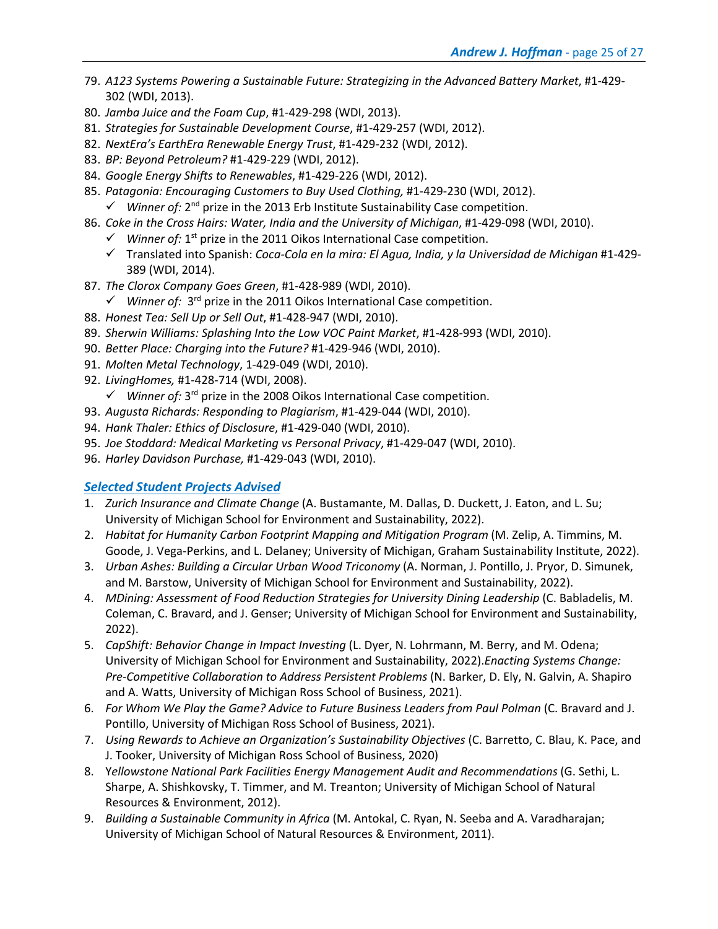- 79. *A123 Systems Powering a Sustainable Future: Strategizing in the Advanced Battery Market*, #1-429- 302 (WDI, 2013).
- 80. *Jamba Juice and the Foam Cup*, #1-429-298 (WDI, 2013).
- 81. *Strategies for Sustainable Development Course*, #1-429-257 (WDI, 2012).
- 82. *NextEra's EarthEra Renewable Energy Trust*, #1-429-232 (WDI, 2012).
- 83. *BP: Beyond Petroleum?* #1-429-229 (WDI, 2012).
- 84. *Google Energy Shifts to Renewables*, #1-429-226 (WDI, 2012).
- 85. *Patagonia: Encouraging Customers to Buy Used Clothing,* #1-429-230 (WDI, 2012).
	- $\checkmark$  *Winner of:* 2<sup>nd</sup> prize in the 2013 Erb Institute Sustainability Case competition.
- 86. *Coke in the Cross Hairs: Water, India and the University of Michigan*, #1-429-098 (WDI, 2010).
	- $\checkmark$  *Winner of:* 1<sup>st</sup> prize in the 2011 Oikos International Case competition.
	- ü Translated into Spanish: *Coca-Cola en la mira: El Agua, India, y la Universidad de Michigan* #1-429- 389 (WDI, 2014).
- 87. *The Clorox Company Goes Green*, #1-428-989 (WDI, 2010).
	- $\checkmark$  *Winner of:* 3<sup>rd</sup> prize in the 2011 Oikos International Case competition.
- 88. *Honest Tea: Sell Up or Sell Out*, #1-428-947 (WDI, 2010).
- 89. *Sherwin Williams: Splashing Into the Low VOC Paint Market*, #1-428-993 (WDI, 2010).
- 90. *Better Place: Charging into the Future?* #1-429-946 (WDI, 2010).
- 91. *Molten Metal Technology*, 1-429-049 (WDI, 2010).
- 92. *LivingHomes,* #1-428-714 (WDI, 2008).
	- $\checkmark$  *Winner of:* 3<sup>rd</sup> prize in the 2008 Oikos International Case competition.
- 93. *Augusta Richards: Responding to Plagiarism*, #1-429-044 (WDI, 2010).
- 94. *Hank Thaler: Ethics of Disclosure*, #1-429-040 (WDI, 2010).
- 95. *Joe Stoddard: Medical Marketing vs Personal Privacy*, #1-429-047 (WDI, 2010).
- 96. *Harley Davidson Purchase,* #1-429-043 (WDI, 2010).

### *Selected Student Projects Advised*

- 1. *Zurich Insurance and Climate Change* (A. Bustamante, M. Dallas, D. Duckett, J. Eaton, and L. Su; University of Michigan School for Environment and Sustainability, 2022).
- 2. *Habitat for Humanity Carbon Footprint Mapping and Mitigation Program* (M. Zelip, A. Timmins, M. Goode, J. Vega-Perkins, and L. Delaney; University of Michigan, Graham Sustainability Institute, 2022).
- 3. *Urban Ashes: Building a Circular Urban Wood Triconomy* (A. Norman, J. Pontillo, J. Pryor, D. Simunek, and M. Barstow, University of Michigan School for Environment and Sustainability, 2022).
- 4. *MDining: Assessment of Food Reduction Strategies for University Dining Leadership* (C. Babladelis, M. Coleman, C. Bravard, and J. Genser; University of Michigan School for Environment and Sustainability, 2022).
- 5. *CapShift: Behavior Change in Impact Investing* (L. Dyer, N. Lohrmann, M. Berry, and M. Odena; University of Michigan School for Environment and Sustainability, 2022).*Enacting Systems Change: Pre-Competitive Collaboration to Address Persistent Problems* (N. Barker, D. Ely, N. Galvin, A. Shapiro and A. Watts, University of Michigan Ross School of Business, 2021).
- 6. *For Whom We Play the Game? Advice to Future Business Leaders from Paul Polman* (C. Bravard and J. Pontillo, University of Michigan Ross School of Business, 2021).
- 7. *Using Rewards to Achieve an Organization's Sustainability Objectives* (C. Barretto, C. Blau, K. Pace, and J. Tooker, University of Michigan Ross School of Business, 2020)
- 8. Y*ellowstone National Park Facilities Energy Management Audit and Recommendations* (G. Sethi, L. Sharpe, A. Shishkovsky, T. Timmer, and M. Treanton; University of Michigan School of Natural Resources & Environment, 2012).
- 9. *Building a Sustainable Community in Africa* (M. Antokal, C. Ryan, N. Seeba and A. Varadharajan; University of Michigan School of Natural Resources & Environment, 2011).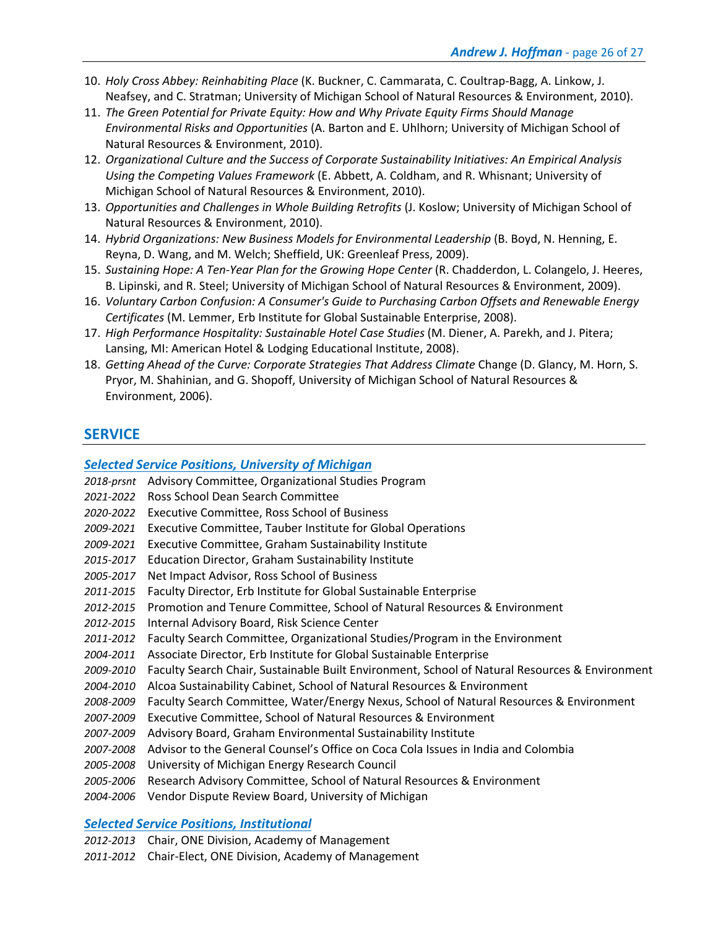- 10. *Holy Cross Abbey: Reinhabiting Place* (K. Buckner, C. Cammarata, C. Coultrap-Bagg, A. Linkow, J. Neafsey, and C. Stratman; University of Michigan School of Natural Resources & Environment, 2010).
- 11. *The Green Potential for Private Equity: How and Why Private Equity Firms Should Manage Environmental Risks and Opportunities* (A. Barton and E. Uhlhorn; University of Michigan School of Natural Resources & Environment, 2010).
- 12. *Organizational Culture and the Success of Corporate Sustainability Initiatives: An Empirical Analysis Using the Competing Values Framework* (E. Abbett, A. Coldham, and R. Whisnant; University of Michigan School of Natural Resources & Environment, 2010).
- 13. *Opportunities and Challenges in Whole Building Retrofits* (J. Koslow; University of Michigan School of Natural Resources & Environment, 2010).
- 14. *Hybrid Organizations: New Business Models for Environmental Leadership* (B. Boyd, N. Henning, E. Reyna, D. Wang, and M. Welch; Sheffield, UK: Greenleaf Press, 2009).
- 15. *Sustaining Hope: A Ten-Year Plan for the Growing Hope Center* (R. Chadderdon, L. Colangelo, J. Heeres, B. Lipinski, and R. Steel; University of Michigan School of Natural Resources & Environment, 2009).
- 16. *Voluntary Carbon Confusion: A Consumer's Guide to Purchasing Carbon Offsets and Renewable Energy Certificates* (M. Lemmer, Erb Institute for Global Sustainable Enterprise, 2008).
- 17. *High Performance Hospitality: Sustainable Hotel Case Studies* (M. Diener, A. Parekh, and J. Pitera; Lansing, MI: American Hotel & Lodging Educational Institute, 2008).
- 18. *Getting Ahead of the Curve: Corporate Strategies That Address Climate* Change (D. Glancy, M. Horn, S. Pryor, M. Shahinian, and G. Shopoff, University of Michigan School of Natural Resources & Environment, 2006).

# **SERVICE**

### *Selected Service Positions, University of Michigan*

- *2018-prsnt* Advisory Committee, Organizational Studies Program
- *2021-2022* Ross School Dean Search Committee
- *2020-2022* Executive Committee, Ross School of Business
- *2009-2021* Executive Committee, Tauber Institute for Global Operations
- *2009-2021* Executive Committee, Graham Sustainability Institute
- *2015-2017* Education Director, Graham Sustainability Institute
- *2005-2017* Net Impact Advisor, Ross School of Business
- *2011-2015* Faculty Director, Erb Institute for Global Sustainable Enterprise
- *2012-2015* Promotion and Tenure Committee, School of Natural Resources & Environment
- *2012-2015* Internal Advisory Board, Risk Science Center
- *2011-2012* Faculty Search Committee, Organizational Studies/Program in the Environment
- *2004-2011* Associate Director, Erb Institute for Global Sustainable Enterprise
- *2009-2010* Faculty Search Chair, Sustainable Built Environment, School of Natural Resources & Environment
- *2004-2010* Alcoa Sustainability Cabinet, School of Natural Resources & Environment
- *2008-2009* Faculty Search Committee, Water/Energy Nexus, School of Natural Resources & Environment
- *2007-2009* Executive Committee, School of Natural Resources & Environment
- *2007-2009* Advisory Board, Graham Environmental Sustainability Institute
- *2007-2008* Advisor to the General Counsel's Office on Coca Cola Issues in India and Colombia
- *2005-2008* University of Michigan Energy Research Council
- *2005-2006* Research Advisory Committee, School of Natural Resources & Environment
- *2004-2006* Vendor Dispute Review Board, University of Michigan

### *Selected Service Positions, Institutional*

- *2012-2013* Chair, ONE Division, Academy of Management
- *2011-2012* Chair-Elect, ONE Division, Academy of Management